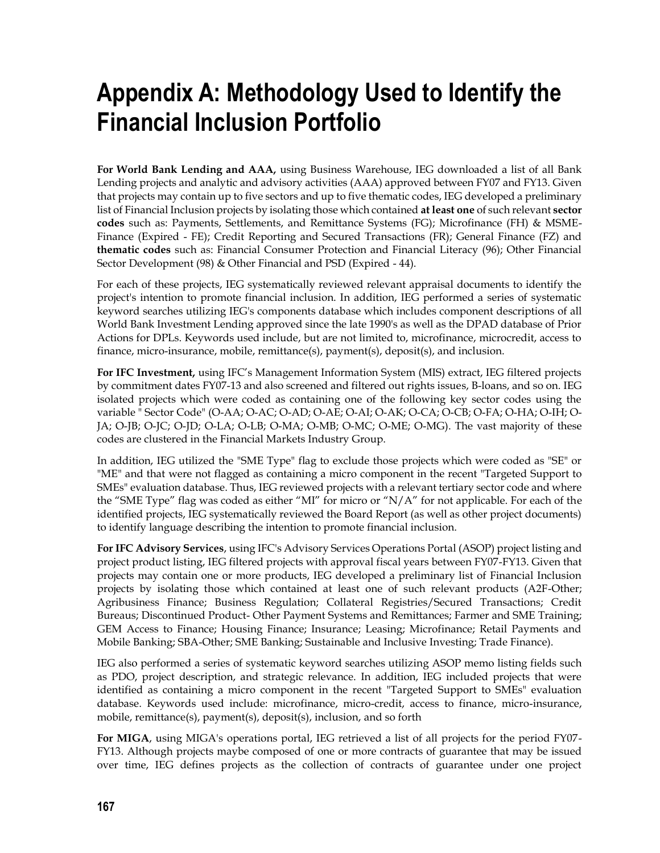# **Appendix A: Methodology Used to Identify the Financial Inclusion Portfolio**

**For World Bank Lending and AAA,** using Business Warehouse, IEG downloaded a list of all Bank Lending projects and analytic and advisory activities (AAA) approved between FY07 and FY13. Given that projects may contain up to five sectors and up to five thematic codes, IEG developed a preliminary list of Financial Inclusion projects by isolating those which contained **at least one** of such relevant **sector codes** such as: Payments, Settlements, and Remittance Systems (FG); Microfinance (FH) & MSME-Finance (Expired - FE); Credit Reporting and Secured Transactions (FR); General Finance (FZ) and **thematic codes** such as: Financial Consumer Protection and Financial Literacy (96); Other Financial Sector Development (98) & Other Financial and PSD (Expired - 44).

For each of these projects, IEG systematically reviewed relevant appraisal documents to identify the project's intention to promote financial inclusion. In addition, IEG performed a series of systematic keyword searches utilizing IEG's components database which includes component descriptions of all World Bank Investment Lending approved since the late 1990's as well as the DPAD database of Prior Actions for DPLs. Keywords used include, but are not limited to, microfinance, microcredit, access to finance, micro-insurance, mobile, remittance(s), payment(s), deposit(s), and inclusion.

**For IFC Investment,** using IFC's Management Information System (MIS) extract, IEG filtered projects by commitment dates FY07-13 and also screened and filtered out rights issues, B-loans, and so on. IEG isolated projects which were coded as containing one of the following key sector codes using the variable " Sector Code" (O-AA; O-AC; O-AD; O-AE; O-AI; O-AK; O-CA; O-CB; O-FA; O-HA; O-IH; O-JA; O-JB; O-JC; O-JD; O-LA; O-LB; O-MA; O-MB; O-MC; O-ME; O-MG). The vast majority of these codes are clustered in the Financial Markets Industry Group.

In addition, IEG utilized the "SME Type" flag to exclude those projects which were coded as "SE" or "ME" and that were not flagged as containing a micro component in the recent "Targeted Support to SMEs" evaluation database. Thus, IEG reviewed projects with a relevant tertiary sector code and where the "SME Type" flag was coded as either "MI" for micro or "N/A" for not applicable. For each of the identified projects, IEG systematically reviewed the Board Report (as well as other project documents) to identify language describing the intention to promote financial inclusion.

**For IFC Advisory Services**, using IFC's Advisory Services Operations Portal (ASOP) project listing and project product listing, IEG filtered projects with approval fiscal years between FY07-FY13. Given that projects may contain one or more products, IEG developed a preliminary list of Financial Inclusion projects by isolating those which contained at least one of such relevant products (A2F-Other; Agribusiness Finance; Business Regulation; Collateral Registries/Secured Transactions; Credit Bureaus; Discontinued Product- Other Payment Systems and Remittances; Farmer and SME Training; GEM Access to Finance; Housing Finance; Insurance; Leasing; Microfinance; Retail Payments and Mobile Banking; SBA-Other; SME Banking; Sustainable and Inclusive Investing; Trade Finance).

IEG also performed a series of systematic keyword searches utilizing ASOP memo listing fields such as PDO, project description, and strategic relevance. In addition, IEG included projects that were identified as containing a micro component in the recent "Targeted Support to SMEs" evaluation database. Keywords used include: microfinance, micro-credit, access to finance, micro-insurance, mobile, remittance(s), payment(s), deposit(s), inclusion, and so forth

**For MIGA**, using MIGA's operations portal, IEG retrieved a list of all projects for the period FY07- FY13. Although projects maybe composed of one or more contracts of guarantee that may be issued over time, IEG defines projects as the collection of contracts of guarantee under one project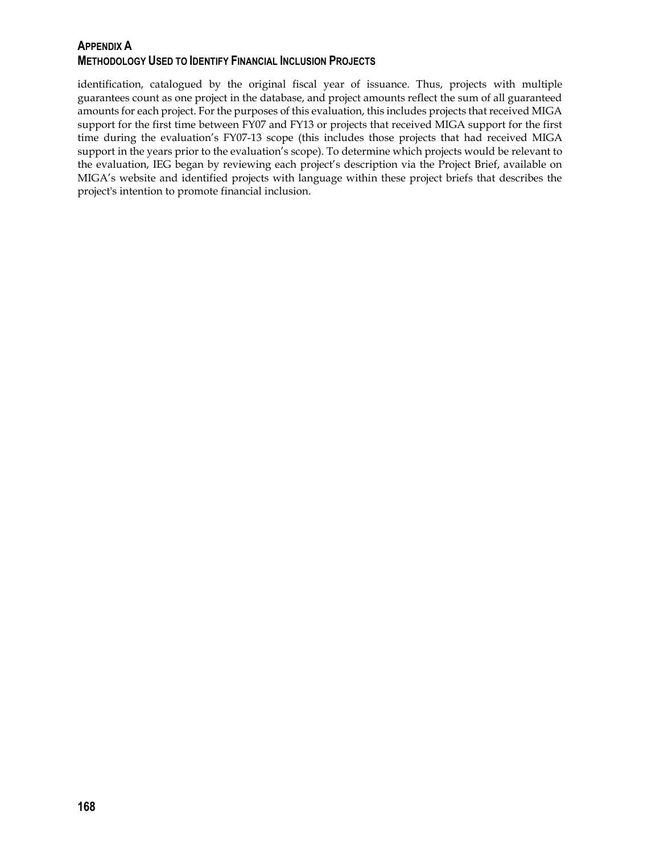## **APPENDIX A METHODOLOGY USED TO IDENTIFY FINANCIAL INCLUSION PROJECTS**

identification, catalogued by the original fiscal year of issuance. Thus, projects with multiple guarantees count as one project in the database, and project amounts reflect the sum of all guaranteed amounts for each project. For the purposes of this evaluation, this includes projects that received MIGA support for the first time between FY07 and FY13 or projects that received MIGA support for the first time during the evaluation's FY07-13 scope (this includes those projects that had received MIGA support in the years prior to the evaluation's scope). To determine which projects would be relevant to the evaluation, IEG began by reviewing each project's description via the Project Brief, available on MIGA's website and identified projects with language within these project briefs that describes the project's intention to promote financial inclusion.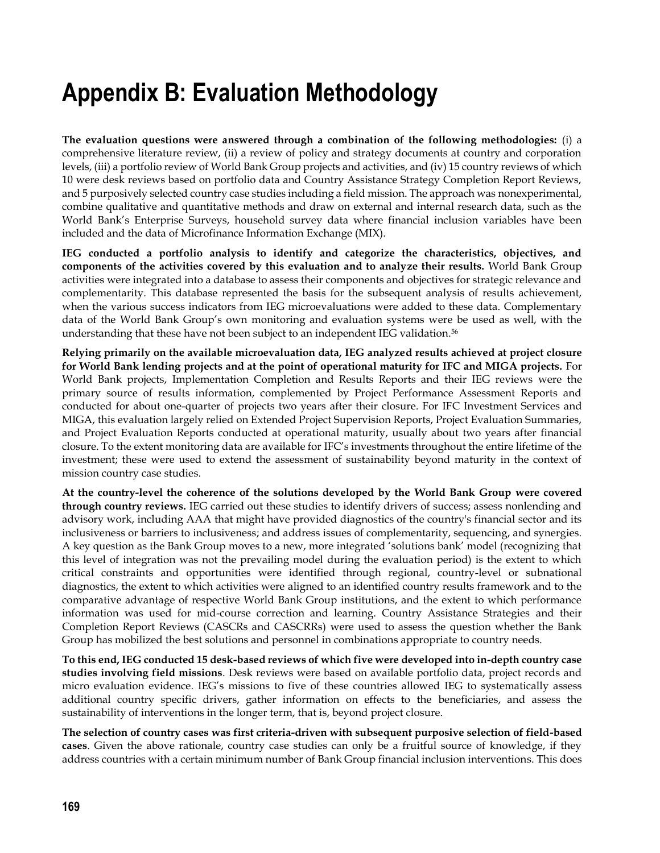# **Appendix B: Evaluation Methodology**

**The evaluation questions were answered through a combination of the following methodologies:** (i) a comprehensive literature review, (ii) a review of policy and strategy documents at country and corporation levels, (iii) a portfolio review of World Bank Group projects and activities, and (iv) 15 country reviews of which 10 were desk reviews based on portfolio data and Country Assistance Strategy Completion Report Reviews, and 5 purposively selected country case studies including a field mission. The approach was nonexperimental, combine qualitative and quantitative methods and draw on external and internal research data, such as the World Bank's Enterprise Surveys, household survey data where financial inclusion variables have been included and the data of Microfinance Information Exchange (MIX).

**IEG conducted a portfolio analysis to identify and categorize the characteristics, objectives, and components of the activities covered by this evaluation and to analyze their results.** World Bank Group activities were integrated into a database to assess their components and objectives for strategic relevance and complementarity. This database represented the basis for the subsequent analysis of results achievement, when the various success indicators from IEG microevaluations were added to these data. Complementary data of the World Bank Group's own monitoring and evaluation systems were be used as well, with the understanding that these have not been subject to an independent IEG validation.<sup>56</sup>

**Relying primarily on the available microevaluation data, IEG analyzed results achieved at project closure for World Bank lending projects and at the point of operational maturity for IFC and MIGA projects.** For World Bank projects, Implementation Completion and Results Reports and their IEG reviews were the primary source of results information, complemented by Project Performance Assessment Reports and conducted for about one-quarter of projects two years after their closure. For IFC Investment Services and MIGA, this evaluation largely relied on Extended Project Supervision Reports, Project Evaluation Summaries, and Project Evaluation Reports conducted at operational maturity, usually about two years after financial closure. To the extent monitoring data are available for IFC's investments throughout the entire lifetime of the investment; these were used to extend the assessment of sustainability beyond maturity in the context of mission country case studies.

**At the country-level the coherence of the solutions developed by the World Bank Group were covered through country reviews.** IEG carried out these studies to identify drivers of success; assess nonlending and advisory work, including AAA that might have provided diagnostics of the country's financial sector and its inclusiveness or barriers to inclusiveness; and address issues of complementarity, sequencing, and synergies. A key question as the Bank Group moves to a new, more integrated 'solutions bank' model (recognizing that this level of integration was not the prevailing model during the evaluation period) is the extent to which critical constraints and opportunities were identified through regional, country-level or subnational diagnostics, the extent to which activities were aligned to an identified country results framework and to the comparative advantage of respective World Bank Group institutions, and the extent to which performance information was used for mid-course correction and learning. Country Assistance Strategies and their Completion Report Reviews (CASCRs and CASCRRs) were used to assess the question whether the Bank Group has mobilized the best solutions and personnel in combinations appropriate to country needs.

**To this end, IEG conducted 15 desk-based reviews of which five were developed into in-depth country case studies involving field missions**. Desk reviews were based on available portfolio data, project records and micro evaluation evidence. IEG's missions to five of these countries allowed IEG to systematically assess additional country specific drivers, gather information on effects to the beneficiaries, and assess the sustainability of interventions in the longer term, that is, beyond project closure.

**The selection of country cases was first criteria-driven with subsequent purposive selection of field-based cases**. Given the above rationale, country case studies can only be a fruitful source of knowledge, if they address countries with a certain minimum number of Bank Group financial inclusion interventions. This does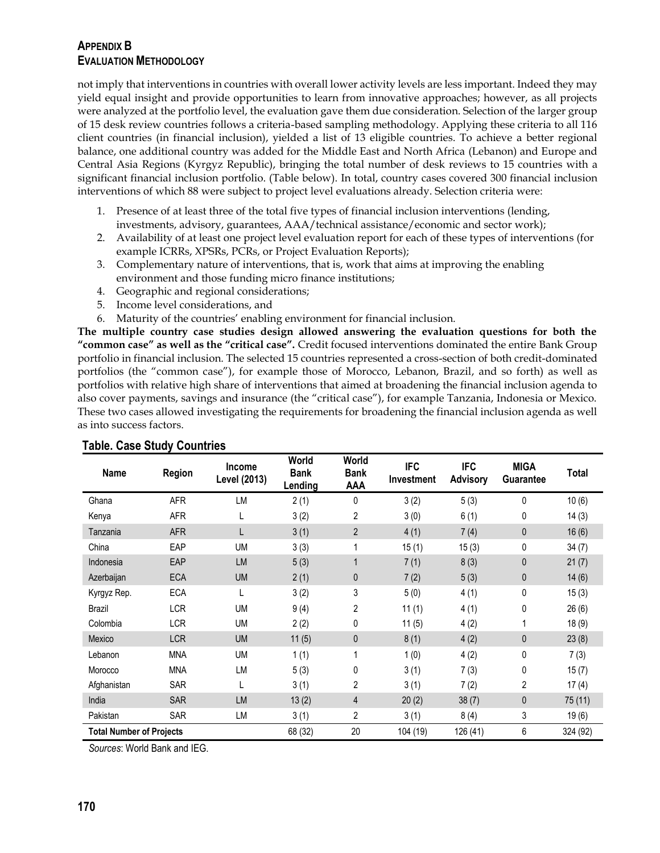## **APPENDIX B EVALUATION METHODOLOGY**

not imply that interventions in countries with overall lower activity levels are less important. Indeed they may yield equal insight and provide opportunities to learn from innovative approaches; however, as all projects were analyzed at the portfolio level, the evaluation gave them due consideration. Selection of the larger group of 15 desk review countries follows a criteria-based sampling methodology. Applying these criteria to all 116 client countries (in financial inclusion), yielded a list of 13 eligible countries. To achieve a better regional balance, one additional country was added for the Middle East and North Africa (Lebanon) and Europe and Central Asia Regions (Kyrgyz Republic), bringing the total number of desk reviews to 15 countries with a significant financial inclusion portfolio. (Table below). In total, country cases covered 300 financial inclusion interventions of which 88 were subject to project level evaluations already. Selection criteria were:

- 1. Presence of at least three of the total five types of financial inclusion interventions (lending, investments, advisory, guarantees, AAA/technical assistance/economic and sector work);
- 2. Availability of at least one project level evaluation report for each of these types of interventions (for example ICRRs, XPSRs, PCRs, or Project Evaluation Reports);
- 3. Complementary nature of interventions, that is, work that aims at improving the enabling environment and those funding micro finance institutions;
- 4. Geographic and regional considerations;
- 5. Income level considerations, and
- 6. Maturity of the countries' enabling environment for financial inclusion.

**The multiple country case studies design allowed answering the evaluation questions for both the "common case" as well as the "critical case".** Credit focused interventions dominated the entire Bank Group portfolio in financial inclusion. The selected 15 countries represented a cross-section of both credit-dominated portfolios (the "common case"), for example those of Morocco, Lebanon, Brazil, and so forth) as well as portfolios with relative high share of interventions that aimed at broadening the financial inclusion agenda to also cover payments, savings and insurance (the "critical case"), for example Tanzania, Indonesia or Mexico. These two cases allowed investigating the requirements for broadening the financial inclusion agenda as well as into success factors.

| <b>Name</b>                     | <b>Region</b> | <b>Income</b><br>Level (2013) | World<br><b>Bank</b><br>Lending | World<br><b>Bank</b><br><b>AAA</b> | <b>IFC</b><br><b>Investment</b> | <b>IFC</b><br><b>Advisory</b> | <b>MIGA</b><br>Guarantee | Total    |
|---------------------------------|---------------|-------------------------------|---------------------------------|------------------------------------|---------------------------------|-------------------------------|--------------------------|----------|
| Ghana                           | <b>AFR</b>    | LM                            | 2(1)                            | 0                                  | 3(2)                            | 5(3)                          | $\mathbf{0}$             | 10(6)    |
| Kenya                           | <b>AFR</b>    | L                             | 3(2)                            | 2                                  | 3(0)                            | 6(1)                          | 0                        | 14(3)    |
| Tanzania                        | <b>AFR</b>    | L                             | 3(1)                            | $\overline{2}$                     | 4(1)                            | 7(4)                          | $\mathbf{0}$             | 16(6)    |
| China                           | EAP           | UM                            | 3(3)                            | 1                                  | 15(1)                           | 15(3)                         | 0                        | 34(7)    |
| Indonesia                       | EAP           | LM                            | 5(3)                            | $\mathbf{1}$                       | 7(1)                            | 8(3)                          | $\mathbf{0}$             | 21(7)    |
| Azerbaijan                      | <b>ECA</b>    | <b>UM</b>                     | 2(1)                            | 0                                  | 7(2)                            | 5(3)                          | 0                        | 14(6)    |
| Kyrgyz Rep.                     | <b>ECA</b>    | L                             | 3(2)                            | 3                                  | 5(0)                            | 4(1)                          | 0                        | 15(3)    |
| Brazil                          | <b>LCR</b>    | <b>UM</b>                     | 9(4)                            | 2                                  | 11(1)                           | 4(1)                          | $\mathbf 0$              | 26(6)    |
| Colombia                        | <b>LCR</b>    | <b>UM</b>                     | 2(2)                            | 0                                  | 11(5)                           | 4(2)                          |                          | 18 (9)   |
| Mexico                          | <b>LCR</b>    | <b>UM</b>                     | 11(5)                           | 0                                  | 8(1)                            | 4(2)                          | $\mathbf{0}$             | 23(8)    |
| Lebanon                         | <b>MNA</b>    | <b>UM</b>                     | 1(1)                            | 1                                  | 1(0)                            | 4(2)                          | 0                        | 7(3)     |
| Morocco                         | <b>MNA</b>    | LM                            | 5(3)                            | 0                                  | 3(1)                            | 7(3)                          | $\mathbf 0$              | 15(7)    |
| Afghanistan                     | <b>SAR</b>    | L                             | 3(1)                            | 2                                  | 3(1)                            | 7(2)                          | $\overline{2}$           | 17(4)    |
| India                           | <b>SAR</b>    | <b>LM</b>                     | 13(2)                           | 4                                  | 20(2)                           | 38(7)                         | $\mathbf{0}$             | 75 (11)  |
| Pakistan                        | <b>SAR</b>    | LM                            | 3(1)                            | 2                                  | 3(1)                            | 8(4)                          | 3                        | 19(6)    |
| <b>Total Number of Projects</b> |               |                               | 68 (32)                         | 20                                 | 104 (19)                        | 126 (41)                      | 6                        | 324 (92) |

### **Table. Case Study Countries**

*Sources*: World Bank and IEG.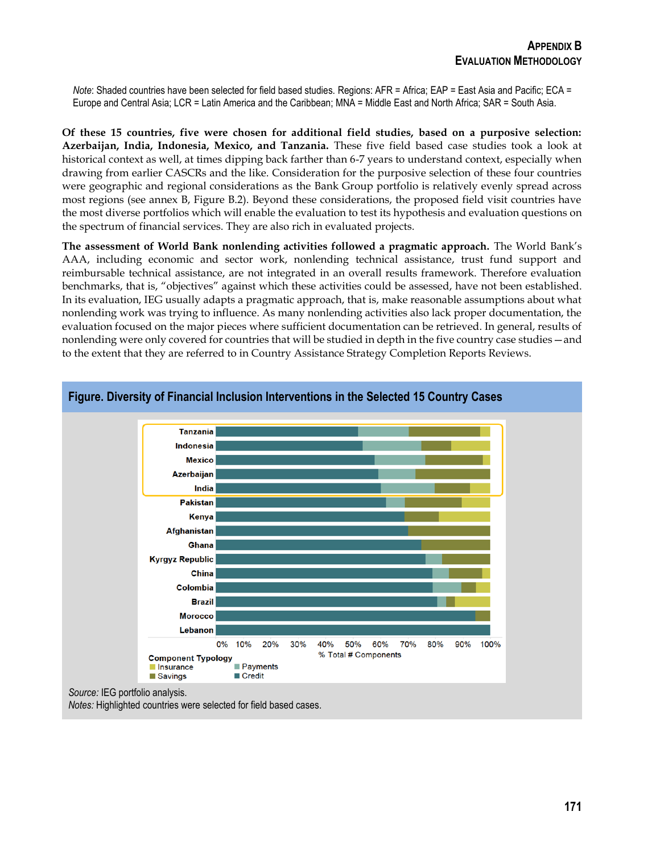*Note*: Shaded countries have been selected for field based studies. Regions: AFR = Africa; EAP = East Asia and Pacific; ECA = Europe and Central Asia; LCR = Latin America and the Caribbean; MNA = Middle East and North Africa; SAR = South Asia.

**Of these 15 countries, five were chosen for additional field studies, based on a purposive selection: Azerbaijan, India, Indonesia, Mexico, and Tanzania.** These five field based case studies took a look at historical context as well, at times dipping back farther than 6-7 years to understand context, especially when drawing from earlier CASCRs and the like. Consideration for the purposive selection of these four countries were geographic and regional considerations as the Bank Group portfolio is relatively evenly spread across most regions (see annex B, Figure B.2). Beyond these considerations, the proposed field visit countries have the most diverse portfolios which will enable the evaluation to test its hypothesis and evaluation questions on the spectrum of financial services. They are also rich in evaluated projects.

**The assessment of World Bank nonlending activities followed a pragmatic approach.** The World Bank's AAA, including economic and sector work, nonlending technical assistance, trust fund support and reimbursable technical assistance, are not integrated in an overall results framework. Therefore evaluation benchmarks, that is, "objectives" against which these activities could be assessed, have not been established. In its evaluation, IEG usually adapts a pragmatic approach, that is, make reasonable assumptions about what nonlending work was trying to influence. As many nonlending activities also lack proper documentation, the evaluation focused on the major pieces where sufficient documentation can be retrieved. In general, results of nonlending were only covered for countries that will be studied in depth in the five country case studies—and to the extent that they are referred to in Country Assistance Strategy Completion Reports Reviews.



**Figure. Diversity of Financial Inclusion Interventions in the Selected 15 Country Cases**

*Notes:* Highlighted countries were selected for field based cases.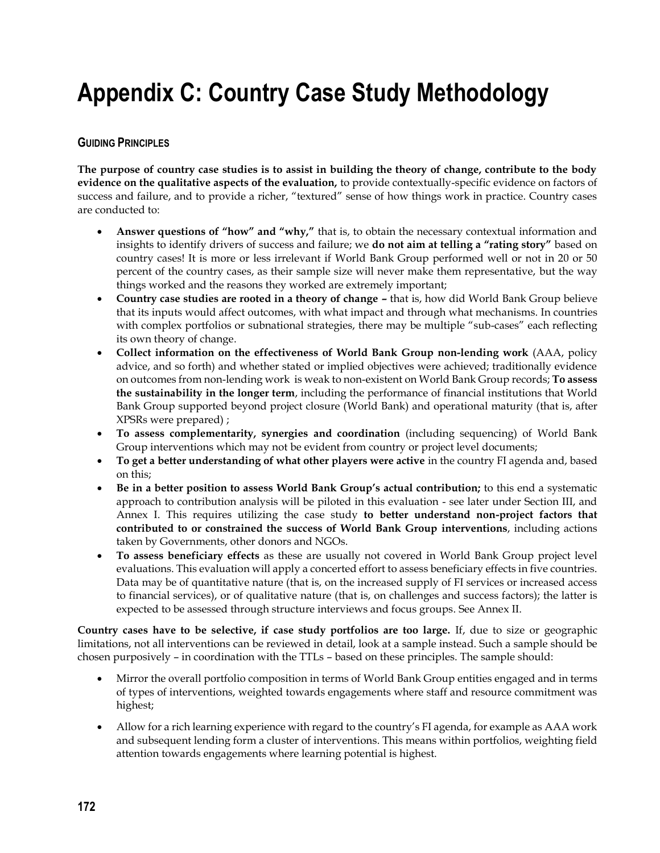# **Appendix C: Country Case Study Methodology**

### **GUIDING PRINCIPLES**

**The purpose of country case studies is to assist in building the theory of change, contribute to the body evidence on the qualitative aspects of the evaluation,** to provide contextually-specific evidence on factors of success and failure, and to provide a richer, "textured" sense of how things work in practice. Country cases are conducted to:

- **Answer questions of "how" and "why,"** that is, to obtain the necessary contextual information and insights to identify drivers of success and failure; we **do not aim at telling a "rating story"** based on country cases! It is more or less irrelevant if World Bank Group performed well or not in 20 or 50 percent of the country cases, as their sample size will never make them representative, but the way things worked and the reasons they worked are extremely important;
- **Country case studies are rooted in a theory of change –** that is, how did World Bank Group believe that its inputs would affect outcomes, with what impact and through what mechanisms. In countries with complex portfolios or subnational strategies, there may be multiple "sub-cases" each reflecting its own theory of change.
- **Collect information on the effectiveness of World Bank Group non-lending work** (AAA, policy advice, and so forth) and whether stated or implied objectives were achieved; traditionally evidence on outcomes from non-lending work is weak to non-existent on World Bank Group records; **To assess the sustainability in the longer term**, including the performance of financial institutions that World Bank Group supported beyond project closure (World Bank) and operational maturity (that is, after XPSRs were prepared) ;
- **To assess complementarity, synergies and coordination** (including sequencing) of World Bank Group interventions which may not be evident from country or project level documents;
- **To get a better understanding of what other players were active** in the country FI agenda and, based on this;
- **Be in a better position to assess World Bank Group's actual contribution;** to this end a systematic approach to contribution analysis will be piloted in this evaluation - see later under Section III, and Annex I. This requires utilizing the case study **to better understand non-project factors that contributed to or constrained the success of World Bank Group interventions**, including actions taken by Governments, other donors and NGOs.
- **To assess beneficiary effects** as these are usually not covered in World Bank Group project level evaluations. This evaluation will apply a concerted effort to assess beneficiary effects in five countries. Data may be of quantitative nature (that is, on the increased supply of FI services or increased access to financial services), or of qualitative nature (that is, on challenges and success factors); the latter is expected to be assessed through structure interviews and focus groups. See Annex II.

**Country cases have to be selective, if case study portfolios are too large.** If, due to size or geographic limitations, not all interventions can be reviewed in detail, look at a sample instead. Such a sample should be chosen purposively – in coordination with the TTLs – based on these principles. The sample should:

- Mirror the overall portfolio composition in terms of World Bank Group entities engaged and in terms of types of interventions, weighted towards engagements where staff and resource commitment was highest;
- Allow for a rich learning experience with regard to the country's FI agenda, for example as AAA work and subsequent lending form a cluster of interventions. This means within portfolios, weighting field attention towards engagements where learning potential is highest.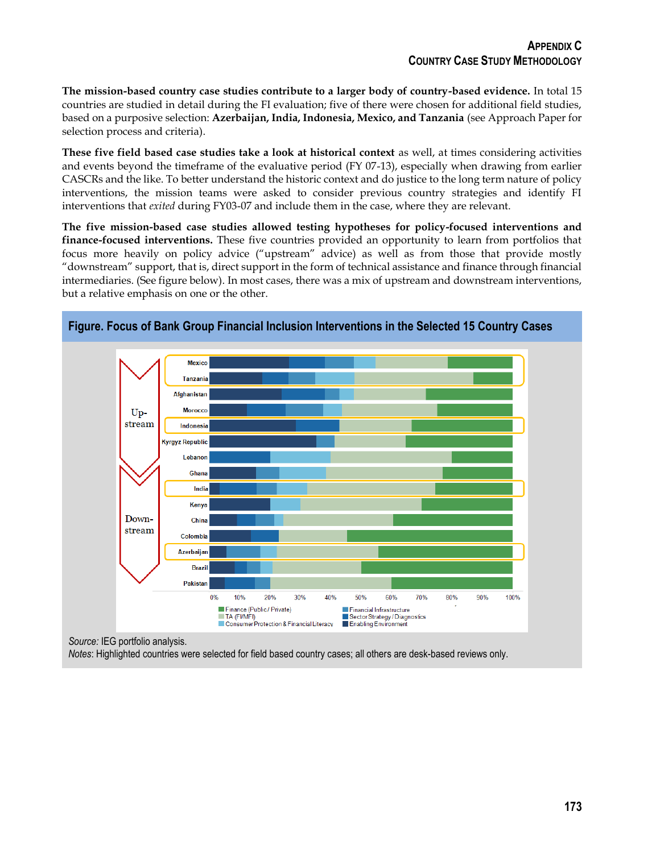**The mission-based country case studies contribute to a larger body of country-based evidence.** In total 15 countries are studied in detail during the FI evaluation; five of there were chosen for additional field studies, based on a purposive selection: **Azerbaijan, India, Indonesia, Mexico, and Tanzania** (see Approach Paper for selection process and criteria).

**These five field based case studies take a look at historical context** as well, at times considering activities and events beyond the timeframe of the evaluative period (FY 07-13), especially when drawing from earlier CASCRs and the like. To better understand the historic context and do justice to the long term nature of policy interventions, the mission teams were asked to consider previous country strategies and identify FI interventions that *exited* during FY03-07 and include them in the case, where they are relevant.

**The five mission-based case studies allowed testing hypotheses for policy-focused interventions and finance-focused interventions.** These five countries provided an opportunity to learn from portfolios that focus more heavily on policy advice ("upstream" advice) as well as from those that provide mostly "downstream" support, that is, direct support in the form of technical assistance and finance through financial intermediaries. (See figure below). In most cases, there was a mix of upstream and downstream interventions, but a relative emphasis on one or the other.



**Figure. Focus of Bank Group Financial Inclusion Interventions in the Selected 15 Country Cases**

*Source:* IEG portfolio analysis.

*Notes*: Highlighted countries were selected for field based country cases; all others are desk-based reviews only.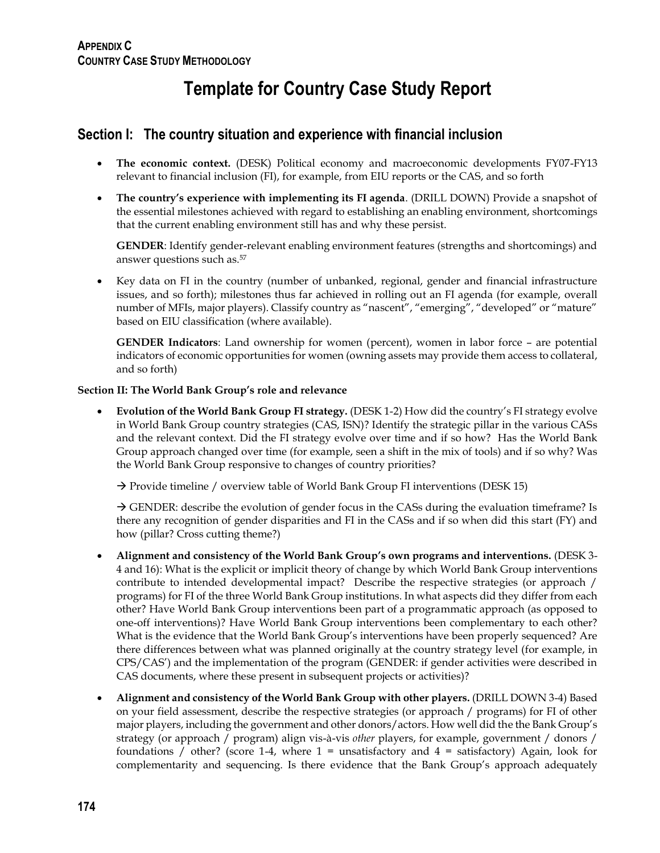## **Template for Country Case Study Report**

## **Section I: The country situation and experience with financial inclusion**

- **The economic context.** (DESK) Political economy and macroeconomic developments FY07-FY13 relevant to financial inclusion (FI), for example, from EIU reports or the CAS, and so forth
- **The country's experience with implementing its FI agenda**. (DRILL DOWN) Provide a snapshot of the essential milestones achieved with regard to establishing an enabling environment, shortcomings that the current enabling environment still has and why these persist.

**GENDER**: Identify gender-relevant enabling environment features (strengths and shortcomings) and answer questions such as.<sup>57</sup>

 Key data on FI in the country (number of unbanked, regional, gender and financial infrastructure issues, and so forth); milestones thus far achieved in rolling out an FI agenda (for example, overall number of MFIs, major players). Classify country as "nascent", "emerging", "developed" or "mature" based on EIU classification (where available).

**GENDER Indicators**: Land ownership for women (percent), women in labor force – are potential indicators of economic opportunities for women (owning assets may provide them access to collateral, and so forth)

### **Section II: The World Bank Group's role and relevance**

 **Evolution of the World Bank Group FI strategy.** (DESK 1-2) How did the country's FI strategy evolve in World Bank Group country strategies (CAS, ISN)? Identify the strategic pillar in the various CASs and the relevant context. Did the FI strategy evolve over time and if so how? Has the World Bank Group approach changed over time (for example, seen a shift in the mix of tools) and if so why? Was the World Bank Group responsive to changes of country priorities?

 $\rightarrow$  Provide timeline / overview table of World Bank Group FI interventions (DESK 15)

 $\rightarrow$  GENDER: describe the evolution of gender focus in the CASs during the evaluation timeframe? Is there any recognition of gender disparities and FI in the CASs and if so when did this start (FY) and how (pillar? Cross cutting theme?)

- **Alignment and consistency of the World Bank Group's own programs and interventions.** (DESK 3- 4 and 16): What is the explicit or implicit theory of change by which World Bank Group interventions contribute to intended developmental impact? Describe the respective strategies (or approach / programs) for FI of the three World Bank Group institutions. In what aspects did they differ from each other? Have World Bank Group interventions been part of a programmatic approach (as opposed to one-off interventions)? Have World Bank Group interventions been complementary to each other? What is the evidence that the World Bank Group's interventions have been properly sequenced? Are there differences between what was planned originally at the country strategy level (for example, in CPS/CAS') and the implementation of the program (GENDER: if gender activities were described in CAS documents, where these present in subsequent projects or activities)?
- **Alignment and consistency of the World Bank Group with other players.** (DRILL DOWN 3-4) Based on your field assessment, describe the respective strategies (or approach / programs) for FI of other major players, including the government and other donors/actors. How well did the the Bank Group's strategy (or approach / program) align vis-à-vis *other* players, for example, government / donors / foundations / other? (score 1-4, where 1 = unsatisfactory and 4 = satisfactory) Again, look for complementarity and sequencing. Is there evidence that the Bank Group's approach adequately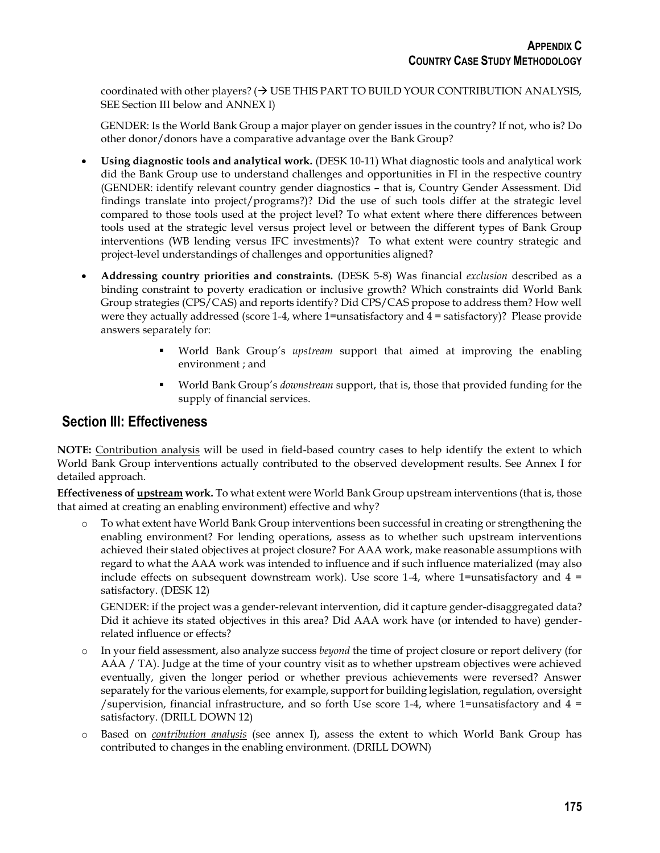coordinated with other players? ( $\rightarrow$  USE THIS PART TO BUILD YOUR CONTRIBUTION ANALYSIS, SEE Section III below and ANNEX I)

GENDER: Is the World Bank Group a major player on gender issues in the country? If not, who is? Do other donor/donors have a comparative advantage over the Bank Group?

- **Using diagnostic tools and analytical work.** (DESK 10-11) What diagnostic tools and analytical work did the Bank Group use to understand challenges and opportunities in FI in the respective country (GENDER: identify relevant country gender diagnostics – that is, Country Gender Assessment. Did findings translate into project/programs?)? Did the use of such tools differ at the strategic level compared to those tools used at the project level? To what extent where there differences between tools used at the strategic level versus project level or between the different types of Bank Group interventions (WB lending versus IFC investments)? To what extent were country strategic and project-level understandings of challenges and opportunities aligned?
- **Addressing country priorities and constraints.** (DESK 5-8) Was financial *exclusion* described as a binding constraint to poverty eradication or inclusive growth? Which constraints did World Bank Group strategies (CPS/CAS) and reports identify? Did CPS/CAS propose to address them? How well were they actually addressed (score 1-4, where 1=unsatisfactory and 4 = satisfactory)? Please provide answers separately for:
	- World Bank Group's *upstream* support that aimed at improving the enabling environment ; and
	- World Bank Group's *downstream* support, that is, those that provided funding for the supply of financial services.

## **Section III: Effectiveness**

**NOTE:** [Contribution analysis](#page-10-0) will be used in field-based country cases to help identify the extent to which World Bank Group interventions actually contributed to the observed development results. See Annex I for detailed approach.

**Effectiveness of upstream work.** To what extent were World Bank Group upstream interventions (that is, those that aimed at creating an enabling environment) effective and why?

o To what extent have World Bank Group interventions been successful in creating or strengthening the enabling environment? For lending operations, assess as to whether such upstream interventions achieved their stated objectives at project closure? For AAA work, make reasonable assumptions with regard to what the AAA work was intended to influence and if such influence materialized (may also include effects on subsequent downstream work). Use score 1-4, where 1=unsatisfactory and  $4 =$ satisfactory. (DESK 12)

GENDER: if the project was a gender-relevant intervention, did it capture gender-disaggregated data? Did it achieve its stated objectives in this area? Did AAA work have (or intended to have) genderrelated influence or effects?

- o In your field assessment, also analyze success *beyond* the time of project closure or report delivery (for AAA / TA). Judge at the time of your country visit as to whether upstream objectives were achieved eventually, given the longer period or whether previous achievements were reversed? Answer separately for the various elements, for example, support for building legislation, regulation, oversight /supervision, financial infrastructure, and so forth Use score 1-4, where 1=unsatisfactory and  $4 =$ satisfactory. (DRILL DOWN 12)
- o Based on *[contribution analysis](#page-10-0)* (see annex I), assess the extent to which World Bank Group has contributed to changes in the enabling environment. (DRILL DOWN)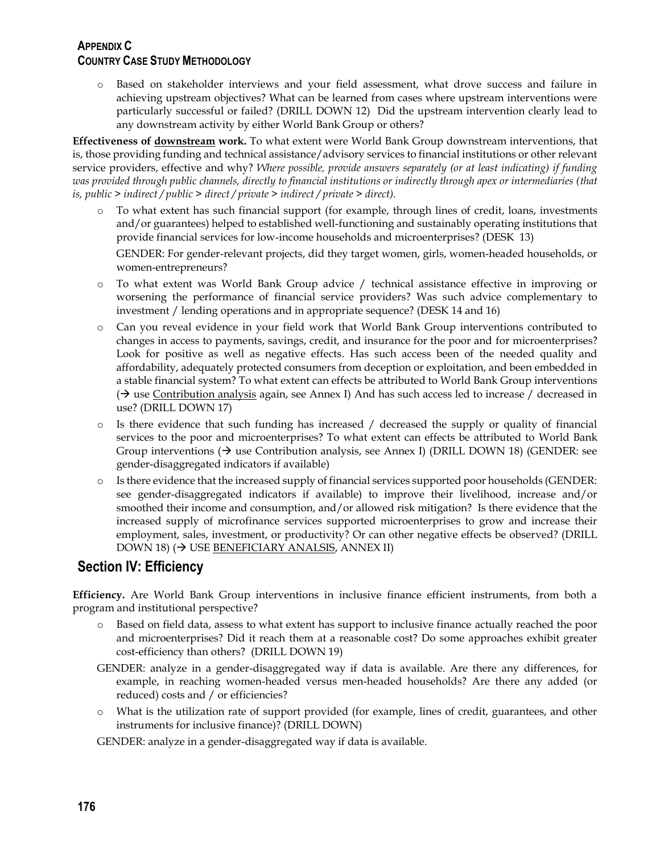## **APPENDIX C COUNTRY CASE STUDY METHODOLOGY**

o Based on stakeholder interviews and your field assessment, what drove success and failure in achieving upstream objectives? What can be learned from cases where upstream interventions were particularly successful or failed? (DRILL DOWN 12) Did the upstream intervention clearly lead to any downstream activity by either World Bank Group or others?

**Effectiveness of downstream work.** To what extent were World Bank Group downstream interventions, that is, those providing funding and technical assistance/advisory services to financial institutions or other relevant service providers, effective and why? *Where possible, provide answers separately (or at least indicating) if funding was provided through public channels, directly to financial institutions or indirectly through apex or intermediaries (that is, public > indirect / public > direct / private > indirect / private > direct).*

o To what extent has such financial support (for example, through lines of credit, loans, investments and/or guarantees) helped to established well-functioning and sustainably operating institutions that provide financial services for low-income households and microenterprises? (DESK 13)

GENDER: For gender-relevant projects, did they target women, girls, women-headed households, or women-entrepreneurs?

- o To what extent was World Bank Group advice / technical assistance effective in improving or worsening the performance of financial service providers? Was such advice complementary to investment / lending operations and in appropriate sequence? (DESK 14 and 16)
- o Can you reveal evidence in your field work that World Bank Group interventions contributed to changes in access to payments, savings, credit, and insurance for the poor and for microenterprises? Look for positive as well as negative effects. Has such access been of the needed quality and affordability, adequately protected consumers from deception or exploitation, and been embedded in a stable financial system? To what extent can effects be attributed to World Bank Group interventions  $(\rightarrow$  use [Contribution analysis](#page-10-0) again, see Annex I) And has such access led to increase / decreased in use? (DRILL DOWN 17)
- o Is there evidence that such funding has increased / decreased the supply or quality of financial services to the poor and microenterprises? To what extent can effects be attributed to World Bank Group interventions  $(\rightarrow$  use Contribution analysis, see Annex I) (DRILL DOWN 18) (GENDER: see gender-disaggregated indicators if available)
- o Is there evidence that the increased supply of financial services supported poor households (GENDER: see gender-disaggregated indicators if available) to improve their livelihood, increase and/or smoothed their income and consumption, and/or allowed risk mitigation? Is there evidence that the increased supply of microfinance services supported microenterprises to grow and increase their employment, sales, investment, or productivity? Or can other negative effects be observed? (DRILL  $DOWN 18$  ( $\rightarrow$  US[E BENEFICIARY ANALSIS,](#page-12-0) ANNEX II)

## **Section IV: Efficiency**

**Efficiency.** Are World Bank Group interventions in inclusive finance efficient instruments, from both a program and institutional perspective?

- Based on field data, assess to what extent has support to inclusive finance actually reached the poor and microenterprises? Did it reach them at a reasonable cost? Do some approaches exhibit greater cost-efficiency than others? (DRILL DOWN 19)
- GENDER: analyze in a gender-disaggregated way if data is available. Are there any differences, for example, in reaching women-headed versus men-headed households? Are there any added (or reduced) costs and / or efficiencies?
- o What is the utilization rate of support provided (for example, lines of credit, guarantees, and other instruments for inclusive finance)? (DRILL DOWN)

GENDER: analyze in a gender-disaggregated way if data is available.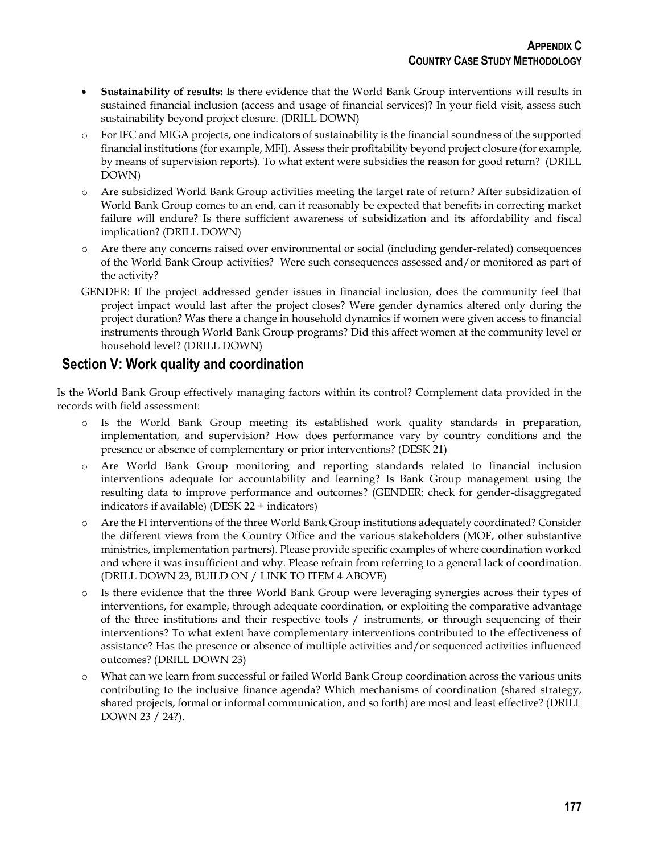- **Sustainability of results:** Is there evidence that the World Bank Group interventions will results in sustained financial inclusion (access and usage of financial services)? In your field visit, assess such sustainability beyond project closure. (DRILL DOWN)
- o For IFC and MIGA projects, one indicators of sustainability is the financial soundness of the supported financial institutions (for example, MFI). Assess their profitability beyond project closure (for example, by means of supervision reports). To what extent were subsidies the reason for good return? (DRILL DOWN)
- o Are subsidized World Bank Group activities meeting the target rate of return? After subsidization of World Bank Group comes to an end, can it reasonably be expected that benefits in correcting market failure will endure? Is there sufficient awareness of subsidization and its affordability and fiscal implication? (DRILL DOWN)
- o Are there any concerns raised over environmental or social (including gender-related) consequences of the World Bank Group activities? Were such consequences assessed and/or monitored as part of the activity?
- GENDER: If the project addressed gender issues in financial inclusion, does the community feel that project impact would last after the project closes? Were gender dynamics altered only during the project duration? Was there a change in household dynamics if women were given access to financial instruments through World Bank Group programs? Did this affect women at the community level or household level? (DRILL DOWN)

## **Section V: Work quality and coordination**

Is the World Bank Group effectively managing factors within its control? Complement data provided in the records with field assessment:

- o Is the World Bank Group meeting its established work quality standards in preparation, implementation, and supervision? How does performance vary by country conditions and the presence or absence of complementary or prior interventions? (DESK 21)
- o Are World Bank Group monitoring and reporting standards related to financial inclusion interventions adequate for accountability and learning? Is Bank Group management using the resulting data to improve performance and outcomes? (GENDER: check for gender-disaggregated indicators if available) (DESK 22 + indicators)
- o Are the FI interventions of the three World Bank Group institutions adequately coordinated? Consider the different views from the Country Office and the various stakeholders (MOF, other substantive ministries, implementation partners). Please provide specific examples of where coordination worked and where it was insufficient and why. Please refrain from referring to a general lack of coordination. (DRILL DOWN 23, BUILD ON / LINK TO ITEM 4 ABOVE)
- o Is there evidence that the three World Bank Group were leveraging synergies across their types of interventions, for example, through adequate coordination, or exploiting the comparative advantage of the three institutions and their respective tools / instruments, or through sequencing of their interventions? To what extent have complementary interventions contributed to the effectiveness of assistance? Has the presence or absence of multiple activities and/or sequenced activities influenced outcomes? (DRILL DOWN 23)
- <span id="page-10-0"></span>o What can we learn from successful or failed World Bank Group coordination across the various units contributing to the inclusive finance agenda? Which mechanisms of coordination (shared strategy, shared projects, formal or informal communication, and so forth) are most and least effective? (DRILL DOWN 23 / 24?).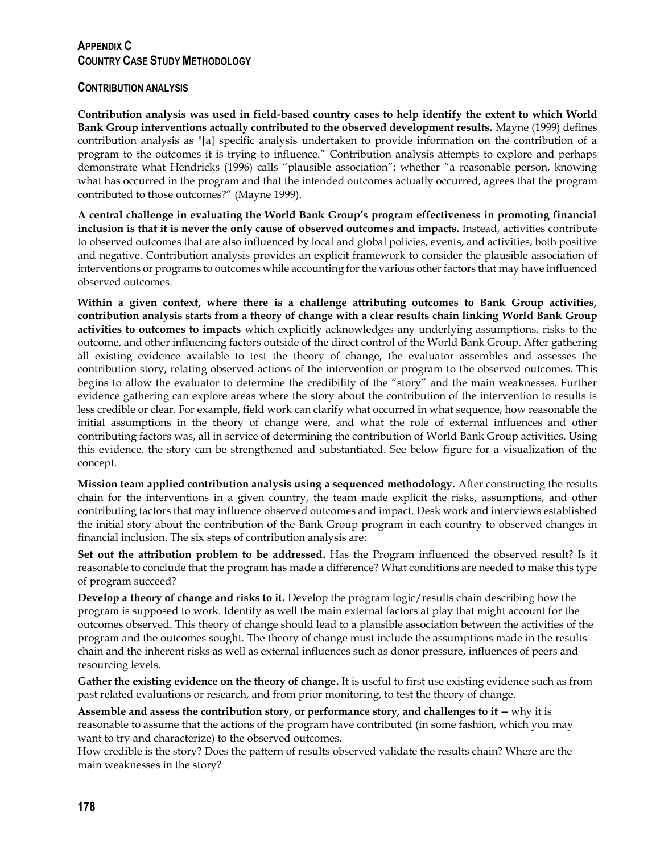## **APPENDIX C COUNTRY CASE STUDY METHODOLOGY**

### **CONTRIBUTION ANALYSIS**

**Contribution analysis was used in field-based country cases to help identify the extent to which World Bank Group interventions actually contributed to the observed development results.** Mayne (1999) defines contribution analysis as "[a] specific analysis undertaken to provide information on the contribution of a program to the outcomes it is trying to influence." Contribution analysis attempts to explore and perhaps demonstrate what Hendricks (1996) calls "plausible association"; whether "a reasonable person, knowing what has occurred in the program and that the intended outcomes actually occurred, agrees that the program contributed to those outcomes?" (Mayne 1999).

**A central challenge in evaluating the World Bank Group's program effectiveness in promoting financial inclusion is that it is never the only cause of observed outcomes and impacts.** Instead, activities contribute to observed outcomes that are also influenced by local and global policies, events, and activities, both positive and negative. Contribution analysis provides an explicit framework to consider the plausible association of interventions or programs to outcomes while accounting for the various other factors that may have influenced observed outcomes.

**Within a given context, where there is a challenge attributing outcomes to Bank Group activities, contribution analysis starts from a theory of change with a clear results chain linking World Bank Group activities to outcomes to impacts** which explicitly acknowledges any underlying assumptions, risks to the outcome, and other influencing factors outside of the direct control of the World Bank Group. After gathering all existing evidence available to test the theory of change, the evaluator assembles and assesses the contribution story, relating observed actions of the intervention or program to the observed outcomes. This begins to allow the evaluator to determine the credibility of the "story" and the main weaknesses. Further evidence gathering can explore areas where the story about the contribution of the intervention to results is less credible or clear. For example, field work can clarify what occurred in what sequence, how reasonable the initial assumptions in the theory of change were, and what the role of external influences and other contributing factors was, all in service of determining the contribution of World Bank Group activities. Using this evidence, the story can be strengthened and substantiated. See below figure for a visualization of the concept.

**Mission team applied contribution analysis using a sequenced methodology.** After constructing the results chain for the interventions in a given country, the team made explicit the risks, assumptions, and other contributing factors that may influence observed outcomes and impact. Desk work and interviews established the initial story about the contribution of the Bank Group program in each country to observed changes in financial inclusion. The six steps of contribution analysis are:

**Set out the attribution problem to be addressed.** Has the Program influenced the observed result? Is it reasonable to conclude that the program has made a difference? What conditions are needed to make this type of program succeed?

**Develop a theory of change and risks to it.** Develop the program logic/results chain describing how the program is supposed to work. Identify as well the main external factors at play that might account for the outcomes observed. This theory of change should lead to a plausible association between the activities of the program and the outcomes sought. The theory of change must include the assumptions made in the results chain and the inherent risks as well as external influences such as donor pressure, influences of peers and resourcing levels.

**Gather the existing evidence on the theory of change.** It is useful to first use existing evidence such as from past related evaluations or research, and from prior monitoring, to test the theory of change.

**Assemble and assess the contribution story, or performance story, and challenges to it -- why it is** reasonable to assume that the actions of the program have contributed (in some fashion, which you may want to try and characterize) to the observed outcomes.

How credible is the story? Does the pattern of results observed validate the results chain? Where are the main weaknesses in the story?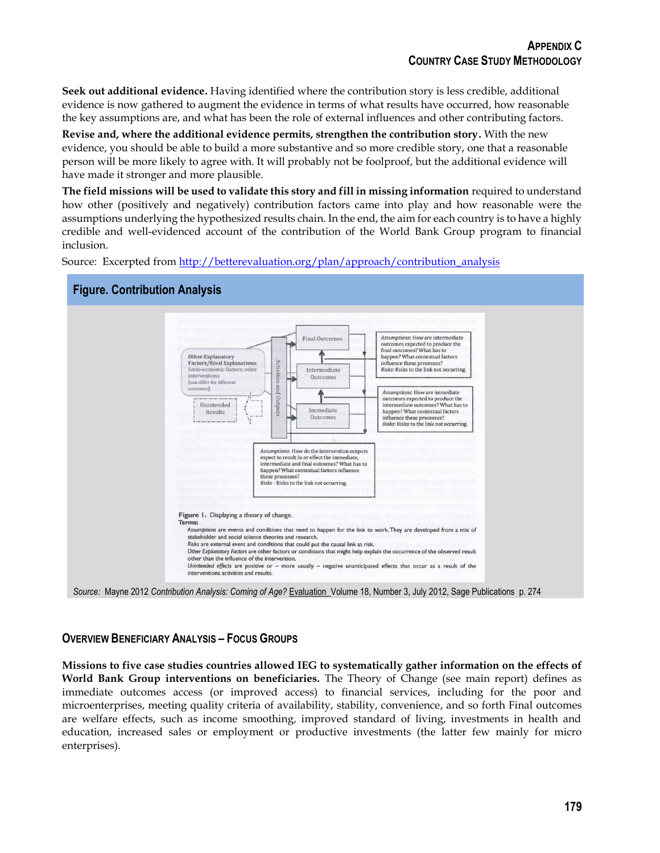**Seek out additional evidence.** Having identified where the contribution story is less credible, additional evidence is now gathered to augment the evidence in terms of what results have occurred, how reasonable the key assumptions are, and what has been the role of external influences and other contributing factors.

**Revise and, where the additional evidence permits, strengthen the contribution story.** With the new evidence, you should be able to build a more substantive and so more credible story, one that a reasonable person will be more likely to agree with. It will probably not be foolproof, but the additional evidence will have made it stronger and more plausible.

**The field missions will be used to validate this story and fill in missing information** required to understand how other (positively and negatively) contribution factors came into play and how reasonable were the assumptions underlying the hypothesized results chain. In the end, the aim for each country is to have a highly credible and well-evidenced account of the contribution of the World Bank Group program to financial inclusion.

Source: Excerpted from [http://betterevaluation.org/plan/approach/contribution\\_analysis](http://betterevaluation.org/plan/approach/contribution_analysis)



### <span id="page-12-0"></span>**OVERVIEW BENEFICIARY ANALYSIS – FOCUS GROUPS**

**Missions to five case studies countries allowed IEG to systematically gather information on the effects of World Bank Group interventions on beneficiaries.** The Theory of Change (see main report) defines as immediate outcomes access (or improved access) to financial services, including for the poor and microenterprises, meeting quality criteria of availability, stability, convenience, and so forth Final outcomes are welfare effects, such as income smoothing, improved standard of living, investments in health and education, increased sales or employment or productive investments (the latter few mainly for micro enterprises).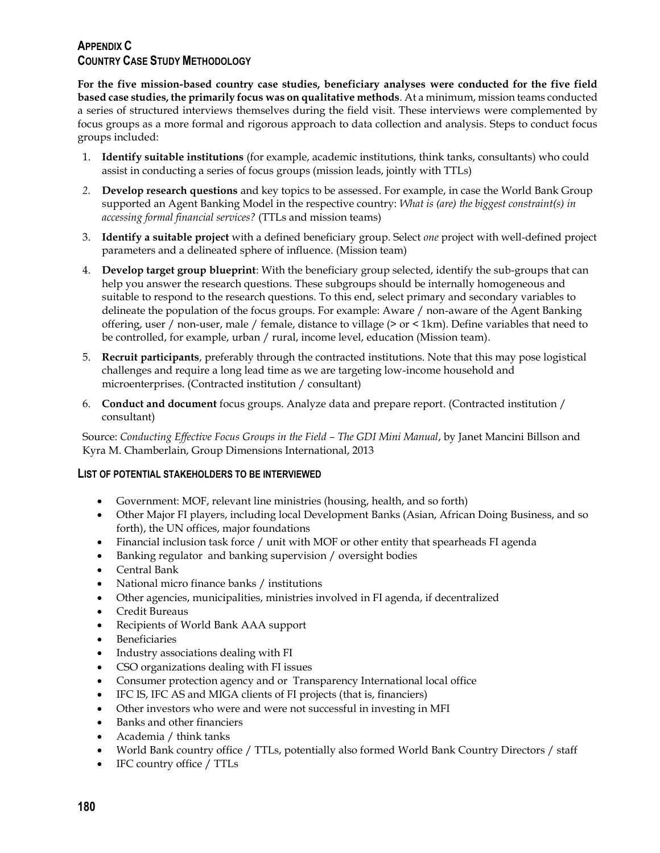## **APPENDIX C COUNTRY CASE STUDY METHODOLOGY**

**For the five mission-based country case studies, beneficiary analyses were conducted for the five field based case studies, the primarily focus was on qualitative methods**. At a minimum, mission teams conducted a series of structured interviews themselves during the field visit. These interviews were complemented by focus groups as a more formal and rigorous approach to data collection and analysis. Steps to conduct focus groups included:

- 1. **Identify suitable institutions** (for example, academic institutions, think tanks, consultants) who could assist in conducting a series of focus groups (mission leads, jointly with TTLs)
- *2.* **Develop research questions** and key topics to be assessed. For example, in case the World Bank Group supported an Agent Banking Model in the respective country: *What is (are) the biggest constraint(s) in accessing formal financial services?* (TTLs and mission teams)
- 3. **Identify a suitable project** with a defined beneficiary group. Select *one* project with well-defined project parameters and a delineated sphere of influence. (Mission team)
- 4. **Develop target group blueprint**: With the beneficiary group selected, identify the sub-groups that can help you answer the research questions. These subgroups should be internally homogeneous and suitable to respond to the research questions. To this end, select primary and secondary variables to delineate the population of the focus groups. For example: Aware / non-aware of the Agent Banking offering, user / non-user, male / female, distance to village (> or < 1km). Define variables that need to be controlled, for example, urban / rural, income level, education (Mission team).
- 5. **Recruit participants**, preferably through the contracted institutions. Note that this may pose logistical challenges and require a long lead time as we are targeting low-income household and microenterprises. (Contracted institution / consultant)
- 6. **Conduct and document** focus groups. Analyze data and prepare report. (Contracted institution / consultant)

Source: *Conducting Effective Focus Groups in the Field – The GDI Mini Manual*, by Janet Mancini Billson and Kyra M. Chamberlain, Group Dimensions International, 2013

## **LIST OF POTENTIAL STAKEHOLDERS TO BE INTERVIEWED**

- Government: MOF, relevant line ministries (housing, health, and so forth)
- Other Major FI players, including local Development Banks (Asian, African Doing Business, and so forth), the UN offices, major foundations
- Financial inclusion task force / unit with MOF or other entity that spearheads FI agenda
- Banking regulator and banking supervision / oversight bodies
- Central Bank
- National micro finance banks / institutions
- Other agencies, municipalities, ministries involved in FI agenda, if decentralized
- Credit Bureaus
- Recipients of World Bank AAA support
- **•** Beneficiaries
- Industry associations dealing with FI
- CSO organizations dealing with FI issues
- Consumer protection agency and or Transparency International local office
- IFC IS, IFC AS and MIGA clients of FI projects (that is, financiers)
- Other investors who were and were not successful in investing in MFI
- Banks and other financiers
- Academia / think tanks
- World Bank country office / TTLs, potentially also formed World Bank Country Directors / staff
- IFC country office / TTLs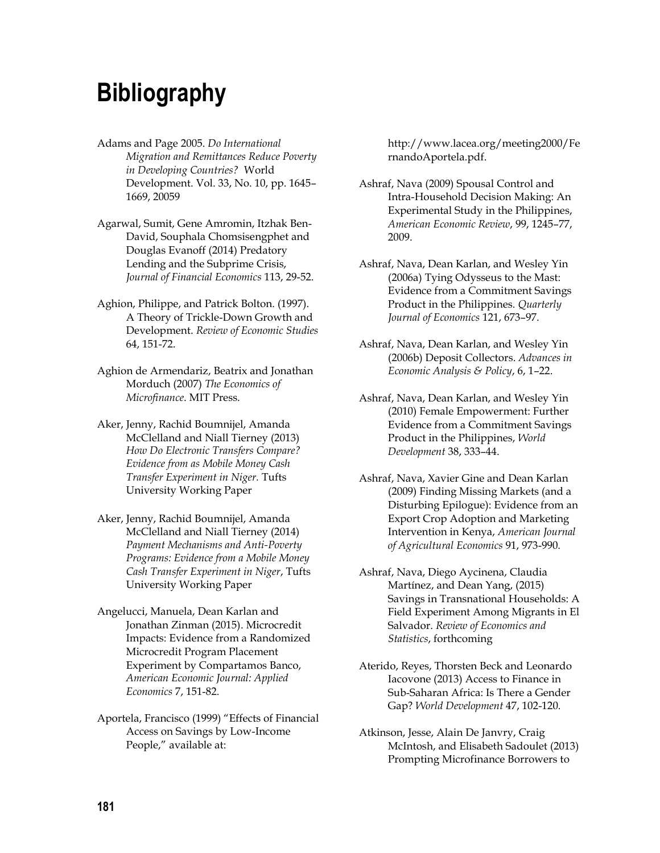## **Bibliography**

- Adams and Page 2005. *Do International Migration and Remittances Reduce Poverty in Developing Countries?* World Development. Vol. 33, No. 10, pp. 1645– 1669, 20059
- Agarwal, Sumit, Gene Amromin, Itzhak Ben-David, Souphala Chomsisengphet and Douglas Evanoff (2014) Predatory Lending and the Subprime Crisis, *Journal of Financial Economics* 113, 29-52.
- Aghion, Philippe, and Patrick Bolton. (1997). A Theory of Trickle-Down Growth and Development. *Review of Economic Studies* 64, 151-72.
- Aghion de Armendariz, Beatrix and Jonathan Morduch (2007) *The Economics of Microfinance*. MIT Press.
- Aker, Jenny, Rachid Boumnijel, Amanda McClelland and Niall Tierney (2013) *How Do Electronic Transfers Compare? Evidence from as Mobile Money Cash Transfer Experiment in Niger.* Tufts University Working Paper
- Aker, Jenny, Rachid Boumnijel, Amanda McClelland and Niall Tierney (2014) *Payment Mechanisms and Anti-Poverty Programs: Evidence from a Mobile Money Cash Transfer Experiment in Niger*, Tufts University Working Paper
- Angelucci, Manuela, Dean Karlan and Jonathan Zinman (2015). Microcredit Impacts: Evidence from a Randomized Microcredit Program Placement Experiment by Compartamos Banco, *American Economic Journal: Applied Economics* 7, 151-82.
- Aportela, Francisco (1999) "Effects of Financial Access on Savings by Low-Income People," available at:

http://www.lacea.org/meeting2000/Fe rnandoAportela.pdf.

- Ashraf, Nava (2009) Spousal Control and Intra-Household Decision Making: An Experimental Study in the Philippines, *American Economic Review*, 99, 1245–77, 2009.
- Ashraf, Nava, Dean Karlan, and Wesley Yin (2006a) Tying Odysseus to the Mast: Evidence from a Commitment Savings Product in the Philippines. *Quarterly Journal of Economics* 121, 673–97.
- Ashraf, Nava, Dean Karlan, and Wesley Yin (2006b) Deposit Collectors. *Advances in Economic Analysis & Policy*, 6, 1–22.
- Ashraf, Nava, Dean Karlan, and Wesley Yin (2010) Female Empowerment: Further Evidence from a Commitment Savings Product in the Philippines, *World Development* 38, 333–44.
- Ashraf, Nava, Xavier Gine and Dean Karlan (2009) Finding Missing Markets (and a Disturbing Epilogue): Evidence from an Export Crop Adoption and Marketing Intervention in Kenya, *American Journal of Agricultural Economics* 91, 973-990.
- Ashraf, Nava, Diego Aycinena, Claudia Martínez, and Dean Yang, (2015) Savings in Transnational Households: A Field Experiment Among Migrants in El Salvador. *Review of Economics and Statistics*, forthcoming
- Aterido, Reyes, Thorsten Beck and Leonardo Iacovone (2013) Access to Finance in Sub-Saharan Africa: Is There a Gender Gap? *World Development* 47, 102-120.
- Atkinson, Jesse, Alain De Janvry, Craig McIntosh, and Elisabeth Sadoulet (2013) Prompting Microfinance Borrowers to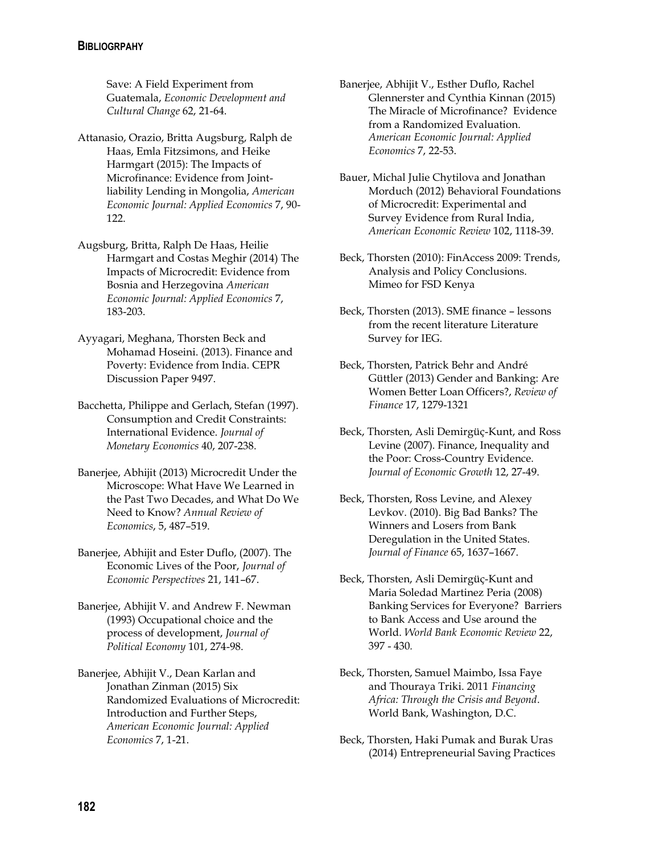Save: A Field Experiment from Guatemala, *Economic Development and Cultural Change* 62, 21-64.

- Attanasio, Orazio, Britta Augsburg, Ralph de Haas, Emla Fitzsimons, and Heike Harmgart (2015): The Impacts of Microfinance: Evidence from Jointliability Lending in Mongolia, *American Economic Journal: Applied Economics* 7, 90- 122.
- Augsburg, Britta, Ralph De Haas, Heilie Harmgart and Costas Meghir (2014) The Impacts of Microcredit: Evidence from Bosnia and Herzegovina *American Economic Journal: Applied Economics* 7, 183-203.
- Ayyagari, Meghana, Thorsten Beck and Mohamad Hoseini. (2013). Finance and Poverty: Evidence from India. CEPR Discussion Paper 9497.
- Bacchetta, Philippe and Gerlach, Stefan (1997). Consumption and Credit Constraints: International Evidence. *Journal of Monetary Economics* 40, 207-238.
- Banerjee, Abhijit (2013) Microcredit Under the Microscope: What Have We Learned in the Past Two Decades, and What Do We Need to Know? *Annual Review of Economics*, 5, 487–519.
- Banerjee, Abhijit and Ester Duflo, (2007). The Economic Lives of the Poor, *Journal of Economic Perspectives* 21, 141–67.
- Banerjee, Abhijit V. and Andrew F. Newman (1993) Occupational choice and the process of development, *Journal of Political Economy* 101, 274-98.
- Banerjee, Abhijit V., Dean Karlan and Jonathan Zinman (2015) Six Randomized Evaluations of Microcredit: Introduction and Further Steps, *American Economic Journal: Applied Economics* 7, 1-21.
- Banerjee, Abhijit V., Esther Duflo, Rachel Glennerster and Cynthia Kinnan (2015) The Miracle of Microfinance? Evidence from a Randomized Evaluation. *American Economic Journal: Applied Economics* 7, 22-53.
- Bauer, Michal Julie Chytilova and Jonathan Morduch (2012) Behavioral Foundations of Microcredit: Experimental and Survey Evidence from Rural India, *American Economic Review* 102, 1118-39.
- Beck, Thorsten (2010): FinAccess 2009: Trends, Analysis and Policy Conclusions. Mimeo for FSD Kenya
- Beck, Thorsten (2013). SME finance lessons from the recent literature Literature Survey for IEG.
- Beck, Thorsten, Patrick Behr and André Güttler (2013) Gender and Banking: Are Women Better Loan Officers?, *Review of Finance* 17, 1279-1321
- Beck, Thorsten, Asli Demirgüç-Kunt, and Ross Levine (2007). Finance, Inequality and the Poor: Cross-Country Evidence. *Journal of Economic Growth* 12, 27-49.
- Beck, Thorsten, Ross Levine, and Alexey Levkov. (2010). Big Bad Banks? The Winners and Losers from Bank Deregulation in the United States. *Journal of Finance* 65, 1637–1667.
- Beck, Thorsten, Asli Demirgüç-Kunt and Maria Soledad Martinez Peria (2008) Banking Services for Everyone? Barriers to Bank Access and Use around the World. *World Bank Economic Review* 22, 397 - 430*.*
- Beck, Thorsten, Samuel Maimbo, Issa Faye and Thouraya Triki. 2011 *Financing Africa: Through the Crisis and Beyond*. World Bank, Washington, D.C.
- Beck, Thorsten, Haki Pumak and Burak Uras (2014) Entrepreneurial Saving Practices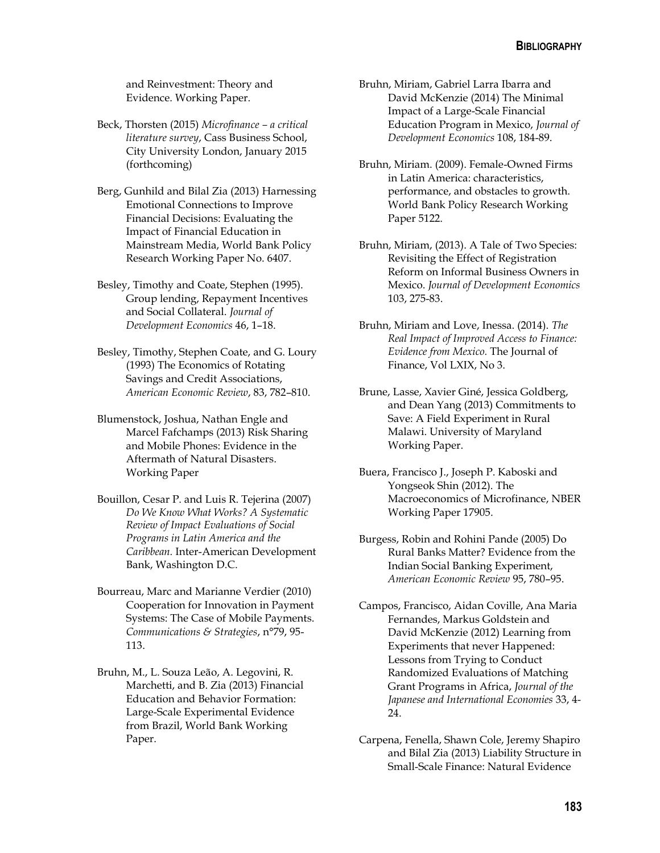and Reinvestment: Theory and Evidence. Working Paper.

- Beck, Thorsten (2015) *Microfinance – a critical literature survey*, Cass Business School, City University London, January 2015 (forthcoming)
- Berg, Gunhild and Bilal Zia (2013) Harnessing Emotional Connections to Improve Financial Decisions: Evaluating the Impact of Financial Education in Mainstream Media, World Bank Policy Research Working Paper No. 6407.
- Besley, Timothy and Coate, Stephen (1995). Group lending, Repayment Incentives and Social Collateral. *Journal of Development Economics* 46, 1–18.
- Besley, Timothy, Stephen Coate, and G. Loury (1993) The Economics of Rotating Savings and Credit Associations, *American Economic Review*, 83, 782–810.
- Blumenstock, Joshua, Nathan Engle and Marcel Fafchamps (2013) Risk Sharing and Mobile Phones: Evidence in the Aftermath of Natural Disasters. Working Paper
- Bouillon, Cesar P. and Luis R. Tejerina (2007) *Do We Know What Works? A Systematic Review of Impact Evaluations of Social Programs in Latin America and the Caribbean.* Inter-American Development Bank, Washington D.C.
- Bourreau, Marc and Marianne Verdier (2010) Cooperation for Innovation in Payment Systems: The Case of Mobile Payments. *Communications & Strategies*, n°79, 95- 113.
- Bruhn, M., L. Souza Leão, A. Legovini, R. Marchetti, and B. Zia (2013) Financial Education and Behavior Formation: Large-Scale Experimental Evidence from Brazil, World Bank Working Paper.
- Bruhn, Miriam, Gabriel Larra Ibarra and David McKenzie (2014) The Minimal Impact of a Large-Scale Financial Education Program in Mexico, *Journal of Development Economics* 108, 184-89.
- Bruhn, Miriam. (2009). Female-Owned Firms in Latin America: characteristics, performance, and obstacles to growth. World Bank Policy Research Working Paper 5122.
- Bruhn, Miriam, (2013). A Tale of Two Species: Revisiting the Effect of Registration Reform on Informal Business Owners in Mexico. *Journal of Development Economics* 103, 275-83.
- Bruhn, Miriam and Love, Inessa. (2014). *The Real Impact of Improved Access to Finance: Evidence from Mexico.* The Journal of Finance, Vol LXIX, No 3.
- Brune, Lasse, Xavier Giné, Jessica Goldberg, and Dean Yang (2013) Commitments to Save: A Field Experiment in Rural Malawi. University of Maryland Working Paper.
- Buera, Francisco J., Joseph P. Kaboski and Yongseok Shin (2012). The Macroeconomics of Microfinance, NBER Working Paper 17905.
- Burgess, Robin and Rohini Pande (2005) Do Rural Banks Matter? Evidence from the Indian Social Banking Experiment, *American Economic Review* 95, 780–95.
- Campos, Francisco, Aidan Coville, Ana Maria Fernandes, Markus Goldstein and David McKenzie (2012) Learning from Experiments that never Happened: Lessons from Trying to Conduct Randomized Evaluations of Matching Grant Programs in Africa, *Journal of the Japanese and International Economies* 33, 4- 24.
- Carpena, Fenella, Shawn Cole, Jeremy Shapiro and Bilal Zia (2013) Liability Structure in Small-Scale Finance: Natural Evidence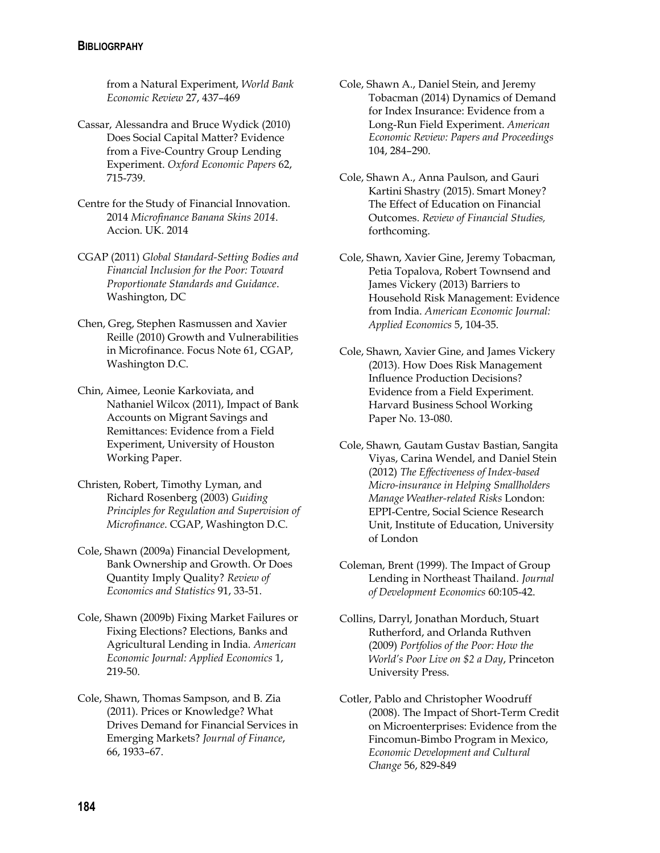### **BIBLIOGRPAHY**

from a Natural Experiment, *World Bank Economic Review* 27, 437–469

- Cassar, Alessandra and Bruce Wydick (2010) Does Social Capital Matter? Evidence from a Five-Country Group Lending Experiment. *Oxford Economic Papers* 62, 715-739.
- Centre for the Study of Financial Innovation. 2014 *Microfinance Banana Skins 2014*. Accion. UK. 2014
- CGAP (2011) *Global Standard-Setting Bodies and Financial Inclusion for the Poor: Toward Proportionate Standards and Guidance*. Washington, DC
- Chen, Greg, Stephen Rasmussen and Xavier Reille (2010) Growth and Vulnerabilities in Microfinance. Focus Note 61, CGAP, Washington D.C.
- Chin, Aimee, Leonie Karkoviata, and Nathaniel Wilcox (2011), Impact of Bank Accounts on Migrant Savings and Remittances: Evidence from a Field Experiment, University of Houston Working Paper.
- Christen, Robert, Timothy Lyman, and Richard Rosenberg (2003) *Guiding Principles for Regulation and Supervision of Microfinance*. CGAP, Washington D.C.
- Cole, Shawn (2009a) Financial Development, Bank Ownership and Growth. Or Does Quantity Imply Quality? *Review of Economics and Statistics* 91, 33-51.
- Cole, Shawn (2009b) Fixing Market Failures or Fixing Elections? Elections, Banks and Agricultural Lending in India. *American Economic Journal: Applied Economics* 1, 219-50.
- Cole, Shawn, Thomas Sampson, and B. Zia (2011). Prices or Knowledge? What Drives Demand for Financial Services in Emerging Markets? *Journal of Finance*, 66, 1933–67.
- Cole, Shawn A., Daniel Stein, and Jeremy Tobacman (2014) Dynamics of Demand for Index Insurance: Evidence from a Long-Run Field Experiment. *American Economic Review: Papers and Proceedings* 104, 284–290.
- Cole, Shawn A., Anna Paulson, and Gauri Kartini Shastry (2015). Smart Money? The Effect of Education on Financial Outcomes. *Review of Financial Studies,* forthcoming.
- Cole, Shawn, Xavier Gine, Jeremy Tobacman, Petia Topalova, Robert Townsend and James Vickery (2013) Barriers to Household Risk Management: Evidence from India. *American Economic Journal: Applied Economics* 5, 104-35.
- Cole, Shawn, Xavier Gine, and James Vickery (2013). How Does Risk Management Influence Production Decisions? Evidence from a Field Experiment. Harvard Business School Working Paper No. 13-080.
- Cole, Shawn*,* Gautam Gustav Bastian, Sangita Viyas, Carina Wendel, and Daniel Stein (2012) *The Effectiveness of Index-based Micro-insurance in Helping Smallholders Manage Weather-related Risks* London: EPPI-Centre, Social Science Research Unit, Institute of Education, University of London
- Coleman, Brent (1999). The Impact of Group Lending in Northeast Thailand. *Journal of Development Economics* 60:105-42.
- Collins, Darryl, Jonathan Morduch, Stuart Rutherford, and Orlanda Ruthven (2009) *Portfolios of the Poor: How the World's Poor Live on \$2 a Day*, Princeton University Press.
- Cotler, Pablo and Christopher Woodruff (2008). The Impact of Short-Term Credit on Microenterprises: Evidence from the Fincomun-Bimbo Program in Mexico, *Economic Development and Cultural Change* 56, 829-849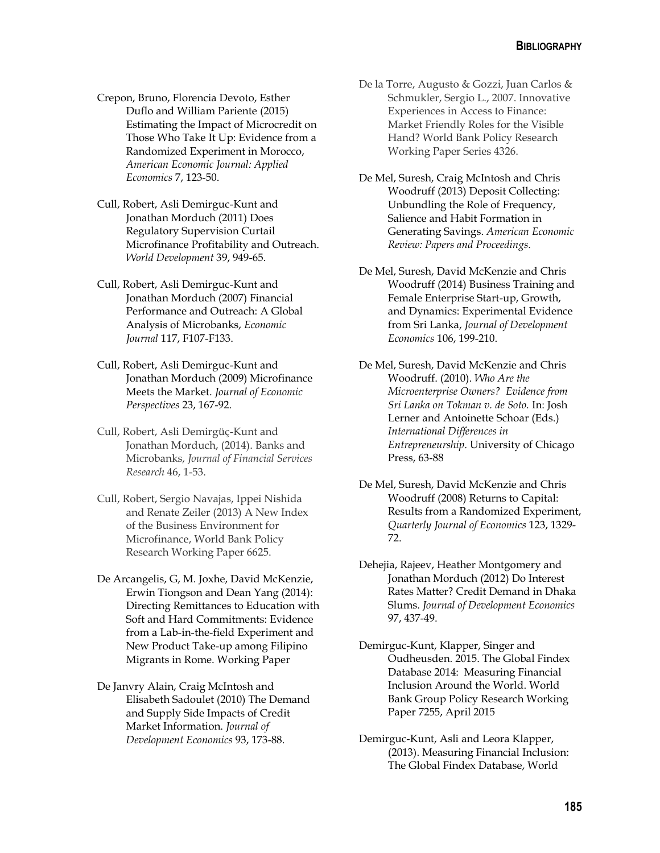- Crepon, Bruno, Florencia Devoto, Esther Duflo and William Pariente (2015) Estimating the Impact of Microcredit on Those Who Take It Up: Evidence from a Randomized Experiment in Morocco, *American Economic Journal: Applied Economics* 7, 123-50.
- Cull, Robert, Asli Demirguc-Kunt and Jonathan Morduch (2011) Does Regulatory Supervision Curtail Microfinance Profitability and Outreach. *World Development* 39, 949-65.
- Cull, Robert, Asli Demirguc-Kunt and Jonathan Morduch (2007) Financial Performance and Outreach: A Global Analysis of Microbanks, *Economic Journal* 117, F107-F133.
- Cull, Robert, Asli Demirguc-Kunt and Jonathan Morduch (2009) Microfinance Meets the Market. *Journal of Economic Perspectives* 23, 167-92.
- Cull, Robert, Asli Demirgüç-Kunt and Jonathan Morduch, (2014). Banks and Microbanks, *Journal of Financial Services Research* 46, 1-53.
- Cull, Robert, Sergio Navajas, Ippei Nishida and Renate Zeiler (2013) A New Index of the Business Environment for Microfinance, World Bank Policy Research Working Paper 6625.
- De Arcangelis, G, M. Joxhe, David McKenzie, Erwin Tiongson and Dean Yang (2014): Directing Remittances to Education with Soft and Hard Commitments: Evidence from a Lab-in-the-field Experiment and New Product Take-up among Filipino Migrants in Rome. Working Paper

De Janvry Alain, Craig McIntosh and Elisabeth Sadoulet (2010) The Demand and Supply Side Impacts of Credit Market Information. *Journal of Development Economics* 93, 173-88.

- De la Torre, Augusto & Gozzi, Juan Carlos & Schmukler, Sergio L., 2007. Innovative Experiences in Access to Finance: Market Friendly Roles for the Visible Hand? World Bank Policy Research Working Paper Series 4326.
- De Mel, Suresh, Craig McIntosh and Chris Woodruff (2013) Deposit Collecting: Unbundling the Role of Frequency, Salience and Habit Formation in Generating Savings. *American Economic Review: Papers and Proceedings.*
- De Mel, Suresh, David McKenzie and Chris Woodruff (2014) Business Training and Female Enterprise Start-up, Growth, and Dynamics: Experimental Evidence from Sri Lanka, *Journal of Development Economics* 106, 199-210.
- De Mel, Suresh, David McKenzie and Chris Woodruff. (2010). *Who Are the Microenterprise Owners? Evidence from Sri Lanka on Tokman v. de Soto.* In: Josh Lerner and Antoinette Schoar (Eds.) *International Differences in Entrepreneurship*. University of Chicago Press, 63-88
- De Mel, Suresh, David McKenzie and Chris Woodruff (2008) Returns to Capital: Results from a Randomized Experiment, *Quarterly Journal of Economics* 123, 1329- 72.
- Dehejia, Rajeev, Heather Montgomery and Jonathan Morduch (2012) Do Interest Rates Matter? Credit Demand in Dhaka Slums. *Journal of Development Economics* 97, 437-49.
- Demirguc-Kunt, Klapper, Singer and Oudheusden. 2015. The Global Findex Database 2014: Measuring Financial Inclusion Around the World. World Bank Group Policy Research Working Paper 7255, April 2015
- Demirguc-Kunt, Asli and Leora Klapper, (2013). Measuring Financial Inclusion: The Global Findex Database, World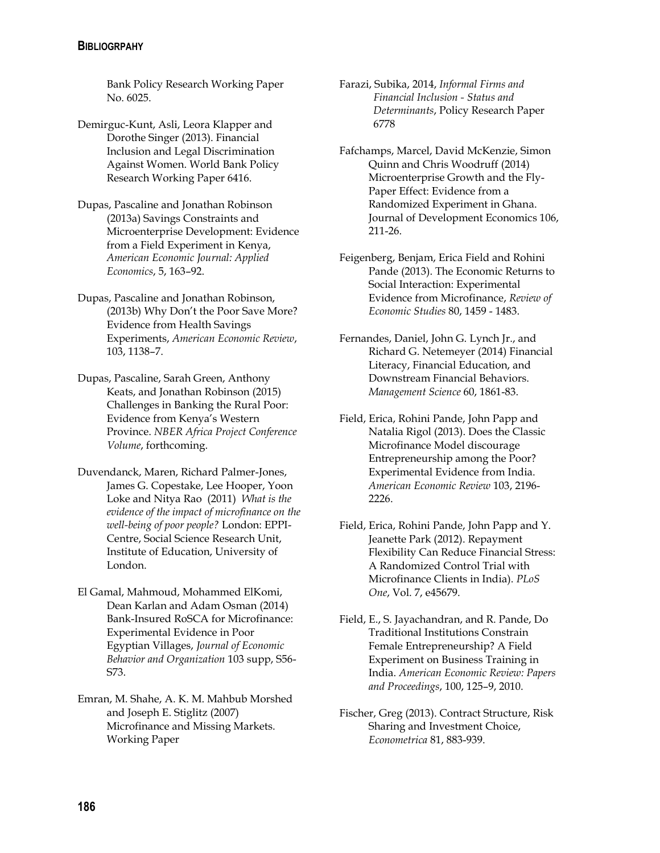#### **BIBLIOGRPAHY**

Bank Policy Research Working Paper No. 6025.

Demirguc-Kunt, Asli, Leora Klapper and Dorothe Singer (2013). Financial Inclusion and Legal Discrimination Against Women. World Bank Policy Research Working Paper 6416.

Dupas, Pascaline and Jonathan Robinson (2013a) Savings Constraints and Microenterprise Development: Evidence from a Field Experiment in Kenya, *American Economic Journal: Applied Economics*, 5, 163–92.

- Dupas, Pascaline and Jonathan Robinson, (2013b) Why Don't the Poor Save More? Evidence from Health Savings Experiments, *American Economic Review*, 103, 1138–7.
- Dupas, Pascaline, Sarah Green, Anthony Keats, and Jonathan Robinson (2015) Challenges in Banking the Rural Poor: Evidence from Kenya's Western Province. *NBER Africa Project Conference Volume*, forthcoming.
- Duvendanck, Maren, Richard Palmer-Jones, James G. Copestake, Lee Hooper, Yoon Loke and Nitya Rao (2011) *What is the evidence of the impact of microfinance on the well-being of poor people?* London: EPPI-Centre, Social Science Research Unit, Institute of Education, University of London.
- El Gamal, Mahmoud, Mohammed ElKomi, Dean Karlan and Adam Osman (2014) Bank-Insured RoSCA for Microfinance: Experimental Evidence in Poor Egyptian Villages, *Journal of Economic Behavior and Organization* 103 supp, S56- S73.
- Emran, M. Shahe, A. K. M. Mahbub Morshed and Joseph E. Stiglitz (2007) Microfinance and Missing Markets. Working Paper
- Farazi, Subika, 2014, *Informal Firms and Financial Inclusion - Status and Determinants*, Policy Research Paper 6778
- Fafchamps, Marcel, David McKenzie, Simon Quinn and Chris Woodruff (2014) Microenterprise Growth and the Fly-Paper Effect: Evidence from a Randomized Experiment in Ghana. Journal of Development Economics 106, 211-26.
- Feigenberg, Benjam, Erica Field and Rohini Pande (2013). The Economic Returns to Social Interaction: Experimental Evidence from Microfinance, *Review of Economic Studies* 80, 1459 - 1483.
- Fernandes, Daniel, John G. Lynch Jr., and Richard G. Netemeyer (2014) Financial Literacy, Financial Education, and Downstream Financial Behaviors. *Management Science* 60, 1861-83.
- Field, Erica, Rohini Pande, John Papp and Natalia Rigol (2013). Does the Classic Microfinance Model discourage Entrepreneurship among the Poor? Experimental Evidence from India. *American Economic Review* 103, 2196- 2226.
- Field, Erica, Rohini Pande, John Papp and Y. Jeanette Park (2012). Repayment Flexibility Can Reduce Financial Stress: A Randomized Control Trial with Microfinance Clients in India). *PLoS One*, Vol. 7, e45679.
- Field, E., S. Jayachandran, and R. Pande, Do Traditional Institutions Constrain Female Entrepreneurship? A Field Experiment on Business Training in India. *American Economic Review: Papers and Proceedings*, 100, 125–9, 2010.
- Fischer, Greg (2013). Contract Structure, Risk Sharing and Investment Choice, *Econometrica* 81, 883-939.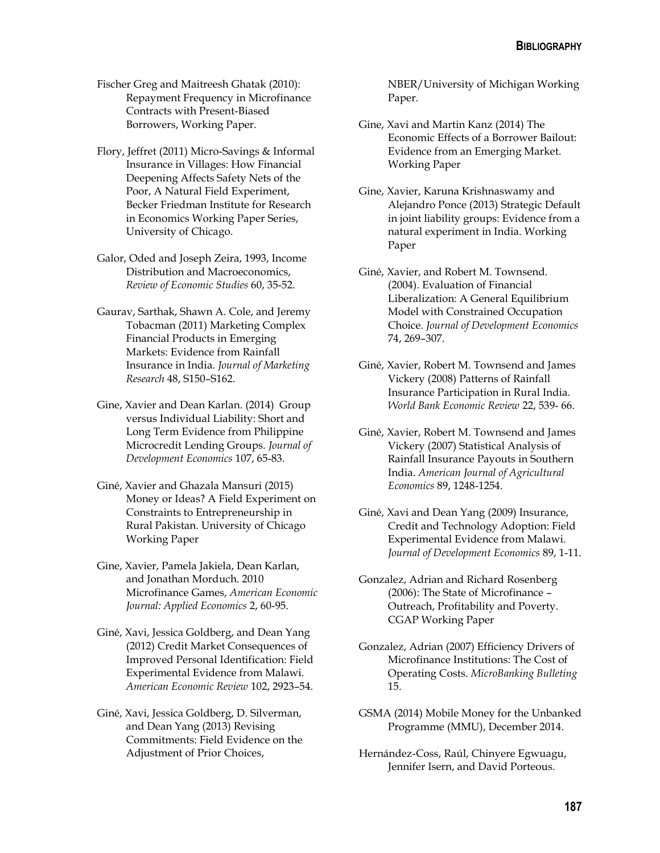Fischer Greg and Maitreesh Ghatak (2010): Repayment Frequency in Microfinance Contracts with Present-Biased Borrowers, Working Paper.

- Flory, Jeffret (2011) Micro-Savings & Informal Insurance in Villages: How Financial Deepening Affects Safety Nets of the Poor, A Natural Field Experiment, Becker Friedman Institute for Research in Economics Working Paper Series, University of Chicago.
- Galor, Oded and Joseph Zeira, 1993, Income Distribution and Macroeconomics, *Review of Economic Studies* 60, 35-52.
- Gaurav, Sarthak, Shawn A. Cole, and Jeremy Tobacman (2011) Marketing Complex Financial Products in Emerging Markets: Evidence from Rainfall Insurance in India. *Journal of Marketing Research* 48, S150–S162.
- Gine, Xavier and Dean Karlan. (2014) Group versus Individual Liability: Short and Long Term Evidence from Philippine Microcredit Lending Groups. *Journal of Development Economics* 107, 65-83.
- Giné, Xavier and Ghazala Mansuri (2015) Money or Ideas? A Field Experiment on Constraints to Entrepreneurship in Rural Pakistan. University of Chicago Working Paper
- Gine, Xavier, Pamela Jakiela, Dean Karlan, and Jonathan Morduch. 2010 Microfinance Games, *American Economic Journal: Applied Economics* 2, 60-95.
- Giné, Xavi, Jessica Goldberg, and Dean Yang (2012) Credit Market Consequences of Improved Personal Identification: Field Experimental Evidence from Malawi. *American Economic Review* 102, 2923–54.
- Giné, Xavi, Jessica Goldberg, D. Silverman, and Dean Yang (2013) Revising Commitments: Field Evidence on the Adjustment of Prior Choices,

NBER/University of Michigan Working Paper.

- Gine, Xavi and Martin Kanz (2014) The Economic Effects of a Borrower Bailout: Evidence from an Emerging Market. Working Paper
- Gine, Xavier, Karuna Krishnaswamy and Alejandro Ponce (2013) Strategic Default in joint liability groups: Evidence from a natural experiment in India. Working Paper
- Giné, Xavier, and Robert M. Townsend. (2004). Evaluation of Financial Liberalization: A General Equilibrium Model with Constrained Occupation Choice. *Journal of Development Economics* 74, 269–307.
- Giné, Xavier, Robert M. Townsend and James Vickery (2008) Patterns of Rainfall Insurance Participation in Rural India. *World Bank Economic Review* 22, 539- 66.
- Giné, Xavier, Robert M. Townsend and James Vickery (2007) Statistical Analysis of Rainfall Insurance Payouts in Southern India. *American Journal of Agricultural Economics* 89, 1248-1254.
- Giné, Xavi and Dean Yang (2009) Insurance, Credit and Technology Adoption: Field Experimental Evidence from Malawi. *Journal of Development Economics* 89, 1-11.
- Gonzalez, Adrian and Richard Rosenberg (2006): The State of Microfinance – Outreach, Profitability and Poverty. CGAP Working Paper
- Gonzalez, Adrian (2007) Efficiency Drivers of Microfinance Institutions: The Cost of Operating Costs. *MicroBanking Bulleting* 15.
- GSMA (2014) Mobile Money for the Unbanked Programme (MMU), December 2014.
- Hernández-Coss, Raúl, Chinyere Egwuagu, Jennifer Isern, and David Porteous.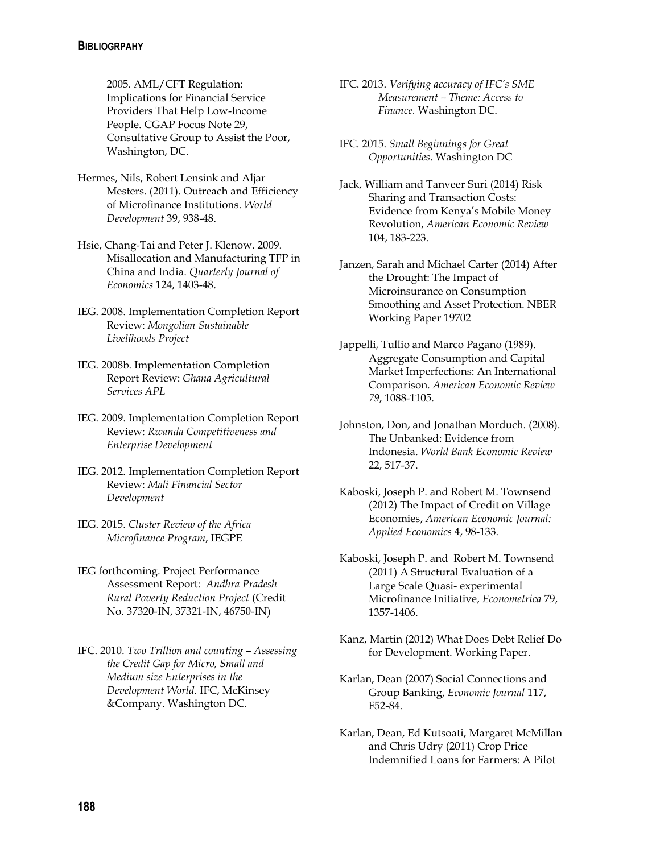### **BIBLIOGRPAHY**

2005. AML/CFT Regulation: Implications for Financial Service Providers That Help Low-Income People. CGAP Focus Note 29, Consultative Group to Assist the Poor, Washington, DC.

- Hermes, Nils, Robert Lensink and Aljar Mesters. (2011). Outreach and Efficiency of Microfinance Institutions. *World Development* 39, 938-48.
- Hsie, Chang-Tai and Peter J. Klenow. 2009. Misallocation and Manufacturing TFP in China and India. *Quarterly Journal of Economics* 124, 1403-48.
- IEG. 2008. Implementation Completion Report Review: *Mongolian Sustainable Livelihoods Project*
- IEG. 2008b. Implementation Completion Report Review: *Ghana Agricultural Services APL*
- IEG. 2009. Implementation Completion Report Review: *Rwanda Competitiveness and Enterprise Development*
- IEG. 2012. Implementation Completion Report Review: *Mali Financial Sector Development*
- IEG. 2015. *Cluster Review of the Africa Microfinance Program*, IEGPE
- IEG forthcoming. Project Performance Assessment Report: *Andhra Pradesh Rural Poverty Reduction Project* (Credit No. 37320-IN, 37321-IN, 46750-IN)
- IFC. 2010. *Two Trillion and counting – Assessing the Credit Gap for Micro, Small and Medium size Enterprises in the Development World.* IFC, McKinsey &Company. Washington DC.
- IFC. 2013. *Verifying accuracy of IFC's SME Measurement – Theme: Access to Finance.* Washington DC.
- IFC. 2015. *Small Beginnings for Great Opportunities*. Washington DC
- Jack, William and Tanveer Suri (2014) Risk Sharing and Transaction Costs: Evidence from Kenya's Mobile Money Revolution, *American Economic Review* 104, 183-223.
- Janzen, Sarah and Michael Carter (2014) After the Drought: The Impact of Microinsurance on Consumption Smoothing and Asset Protection. NBER Working Paper 19702
- Jappelli, Tullio and Marco Pagano (1989). Aggregate Consumption and Capital Market Imperfections: An International Comparison. *American Economic Review 79*, 1088-1105.
- Johnston, Don, and Jonathan Morduch. (2008). The Unbanked: Evidence from Indonesia. *World Bank Economic Review*  22, 517-37.
- Kaboski, Joseph P. and Robert M. Townsend (2012) The Impact of Credit on Village Economies, *American Economic Journal: Applied Economics* 4, 98-133.
- Kaboski, Joseph P. and Robert M. Townsend (2011) A Structural Evaluation of a Large Scale Quasi- experimental Microfinance Initiative, *Econometrica* 79, 1357-1406.
- Kanz, Martin (2012) What Does Debt Relief Do for Development. Working Paper.
- Karlan, Dean (2007) Social Connections and Group Banking, *Economic Journal* 117, F52-84.
- Karlan, Dean, Ed Kutsoati, Margaret McMillan and Chris Udry (2011) Crop Price Indemnified Loans for Farmers: A Pilot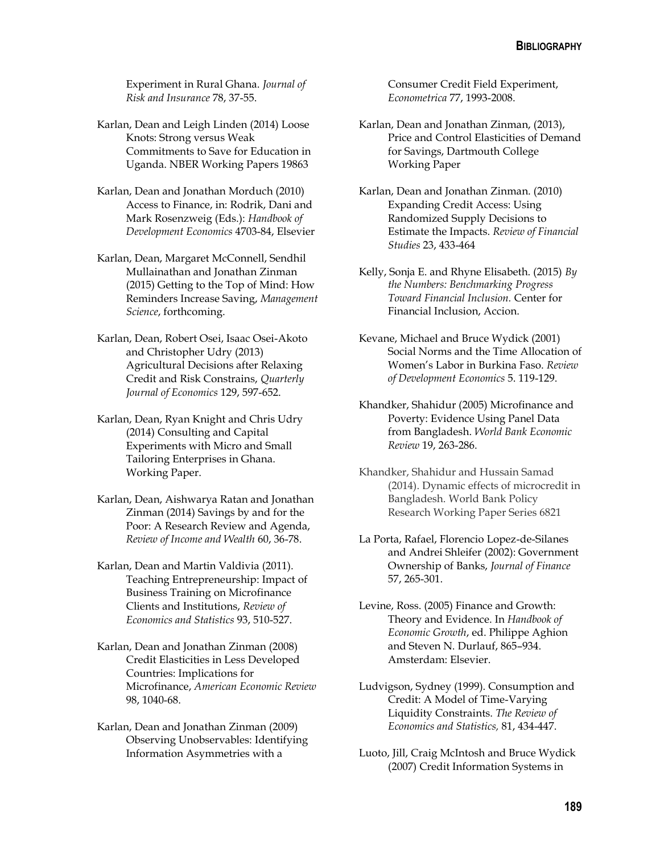Experiment in Rural Ghana. *Journal of Risk and Insurance* 78, 37-55.

- Karlan, Dean and Leigh Linden (2014) Loose Knots: Strong versus Weak Commitments to Save for Education in Uganda. NBER Working Papers 19863
- Karlan, Dean and Jonathan Morduch (2010) Access to Finance, in: Rodrik, Dani and Mark Rosenzweig (Eds.): *Handbook of Development Economics* 4703-84, Elsevier
- Karlan, Dean, Margaret McConnell, Sendhil Mullainathan and Jonathan Zinman (2015) Getting to the Top of Mind: How Reminders Increase Saving, *Management Science*, forthcoming.
- Karlan, Dean, Robert Osei, Isaac Osei-Akoto and Christopher Udry (2013) Agricultural Decisions after Relaxing Credit and Risk Constrains, *Quarterly Journal of Economics* 129, 597-652.
- Karlan, Dean, Ryan Knight and Chris Udry (2014) Consulting and Capital Experiments with Micro and Small Tailoring Enterprises in Ghana. Working Paper.
- Karlan, Dean, Aishwarya Ratan and Jonathan Zinman (2014) Savings by and for the Poor: A Research Review and Agenda, *Review of Income and Wealth* 60, 36-78.
- Karlan, Dean and Martin Valdivia (2011). Teaching Entrepreneurship: Impact of Business Training on Microfinance Clients and Institutions, *Review of Economics and Statistics* 93, 510-527.
- Karlan, Dean and Jonathan Zinman (2008) Credit Elasticities in Less Developed Countries: Implications for Microfinance, *American Economic Review* 98, 1040-68.
- Karlan, Dean and Jonathan Zinman (2009) Observing Unobservables: Identifying Information Asymmetries with a

Consumer Credit Field Experiment, *Econometrica* 77, 1993-2008.

- Karlan, Dean and Jonathan Zinman, (2013), Price and Control Elasticities of Demand for Savings, Dartmouth College Working Paper
- Karlan, Dean and Jonathan Zinman. (2010) Expanding Credit Access: Using Randomized Supply Decisions to Estimate the Impacts. *Review of Financial Studies* 23, 433-464
- Kelly, Sonja E. and Rhyne Elisabeth. (2015) *By the Numbers: Benchmarking Progress Toward Financial Inclusion.* Center for Financial Inclusion, Accion.
- Kevane, Michael and Bruce Wydick (2001) Social Norms and the Time Allocation of Women's Labor in Burkina Faso. *Review of Development Economics* 5. 119-129.
- Khandker, Shahidur (2005) Microfinance and Poverty: Evidence Using Panel Data from Bangladesh. *World Bank Economic Review* 19, 263-286.
- Khandker, Shahidur and Hussain Samad (2014). Dynamic effects of microcredit in Bangladesh. World Bank Policy Research Working Paper Series 6821
- La Porta, Rafael, Florencio Lopez-de-Silanes and Andrei Shleifer (2002): Government Ownership of Banks, *Journal of Finance* 57, 265-301.
- Levine, Ross. (2005) Finance and Growth: Theory and Evidence. In *Handbook of Economic Growth*, ed. Philippe Aghion and Steven N. Durlauf, 865–934. Amsterdam: Elsevier.
- Ludvigson, Sydney (1999). Consumption and Credit: A Model of Time-Varying Liquidity Constraints. *The Review of Economics and Statistics,* 81, 434-447.
- Luoto, Jill, Craig McIntosh and Bruce Wydick (2007) Credit Information Systems in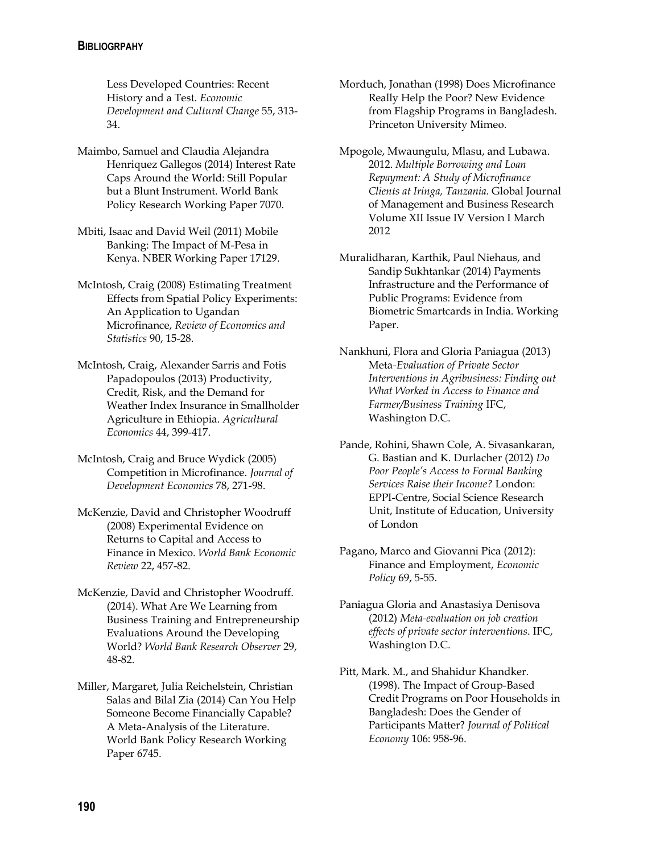Less Developed Countries: Recent History and a Test. *Economic Development and Cultural Change* 55, 313- 34.

- Maimbo, Samuel and Claudia Alejandra Henriquez Gallegos (2014) Interest Rate Caps Around the World: Still Popular but a Blunt Instrument. World Bank Policy Research Working Paper 7070.
- Mbiti, Isaac and David Weil (2011) Mobile Banking: The Impact of M-Pesa in Kenya. NBER Working Paper 17129.
- McIntosh, Craig (2008) Estimating Treatment Effects from Spatial Policy Experiments: An Application to Ugandan Microfinance, *Review of Economics and Statistics* 90, 15-28.
- McIntosh, Craig, Alexander Sarris and Fotis Papadopoulos (2013) Productivity, Credit, Risk, and the Demand for Weather Index Insurance in Smallholder Agriculture in Ethiopia. *Agricultural Economics* 44, 399-417.
- McIntosh, Craig and Bruce Wydick (2005) Competition in Microfinance. *Journal of Development Economics* 78, 271-98.
- McKenzie, David and Christopher Woodruff (2008) Experimental Evidence on Returns to Capital and Access to Finance in Mexico. *World Bank Economic Review* 22, 457-82.
- McKenzie, David and Christopher Woodruff. (2014). What Are We Learning from Business Training and Entrepreneurship Evaluations Around the Developing World? *World Bank Research Observer* 29, 48-82.
- Miller, Margaret, Julia Reichelstein, Christian Salas and Bilal Zia (2014) Can You Help Someone Become Financially Capable? A Meta-Analysis of the Literature. World Bank Policy Research Working Paper 6745.
- Morduch, Jonathan (1998) Does Microfinance Really Help the Poor? New Evidence from Flagship Programs in Bangladesh. Princeton University Mimeo.
- Mpogole, Mwaungulu, Mlasu, and Lubawa. 2012. *Multiple Borrowing and Loan Repayment: A Study of Microfinance Clients at Iringa, Tanzania.* Global Journal of Management and Business Research Volume XII Issue IV Version I March 2012
- Muralidharan, Karthik, Paul Niehaus, and Sandip Sukhtankar (2014) Payments Infrastructure and the Performance of Public Programs: Evidence from Biometric Smartcards in India. Working Paper.
- Nankhuni, Flora and Gloria Paniagua (2013) Meta*-Evaluation of Private Sector Interventions in Agribusiness: Finding out What Worked in Access to Finance and Farmer/Business Training* IFC, Washington D.C.
- Pande, Rohini, Shawn Cole, A. Sivasankaran, G. Bastian and K. Durlacher (2012) *Do Poor People's Access to Formal Banking Services Raise their Income?* London: EPPI-Centre, Social Science Research Unit, Institute of Education, University of London
- Pagano, Marco and Giovanni Pica (2012): Finance and Employment, *Economic Policy* 69, 5-55.
- Paniagua Gloria and Anastasiya Denisova (2012) *Meta-evaluation on job creation effects of private sector interventions*. IFC, Washington D.C.
- Pitt, Mark. M., and Shahidur Khandker. (1998). The Impact of Group-Based Credit Programs on Poor Households in Bangladesh: Does the Gender of Participants Matter? *Journal of Political Economy* 106: 958-96.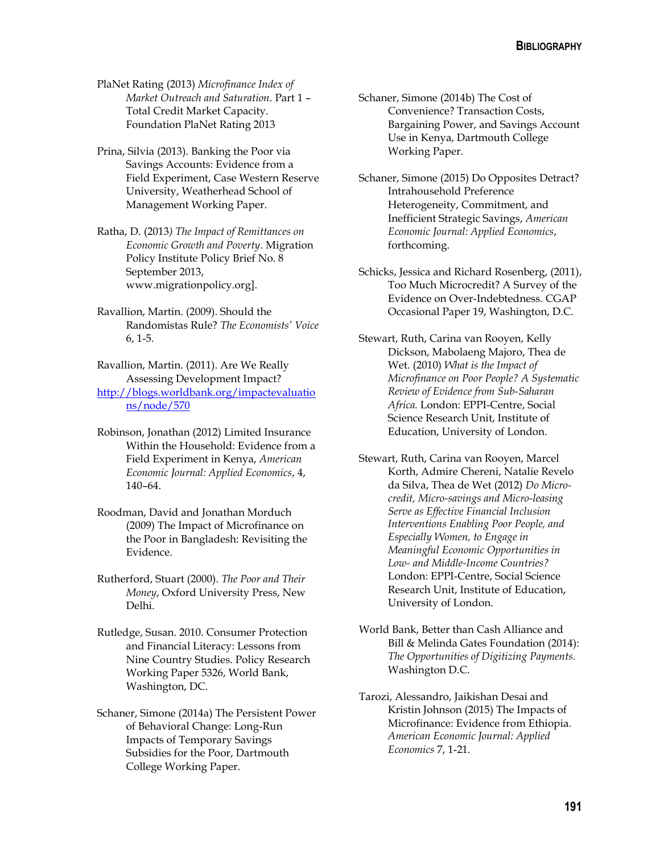PlaNet Rating (2013) *Microfinance Index of Market Outreach and Saturation*. Part 1 – Total Credit Market Capacity. Foundation PlaNet Rating 2013

Prina, Silvia (2013). Banking the Poor via Savings Accounts: Evidence from a Field Experiment, Case Western Reserve University, Weatherhead School of Management Working Paper.

- Ratha, D. (2013*) The Impact of Remittances on Economic Growth and Poverty*. Migration Policy Institute Policy Brief No. 8 September 2013, [www.migrationpolicy.org\]](http://www.migrationpolicy.org/).
- Ravallion, Martin. (2009). Should the Randomistas Rule? *The Economists' Voice* 6, 1-5.

Ravallion, Martin. (2011). Are We Really Assessing Development Impact? [http://blogs.worldbank.org/impactevaluatio](http://blogs.worldbank.org/impactevaluations/node/570) [ns/node/570](http://blogs.worldbank.org/impactevaluations/node/570)

- Robinson, Jonathan (2012) Limited Insurance Within the Household: Evidence from a Field Experiment in Kenya, *American Economic Journal: Applied Economics*, 4, 140–64.
- Roodman, David and Jonathan Morduch (2009) The Impact of Microfinance on the Poor in Bangladesh: Revisiting the Evidence.
- Rutherford, Stuart (2000). *The Poor and Their Money*, Oxford University Press, New Delhi.
- Rutledge, Susan. 2010. Consumer Protection and Financial Literacy: Lessons from Nine Country Studies. Policy Research Working Paper 5326, World Bank, Washington, DC.
- Schaner, Simone (2014a) The Persistent Power of Behavioral Change: Long-Run Impacts of Temporary Savings Subsidies for the Poor, Dartmouth College Working Paper.

Schaner, Simone (2014b) The Cost of Convenience? Transaction Costs, Bargaining Power, and Savings Account Use in Kenya, Dartmouth College Working Paper.

- Schaner, Simone (2015) Do Opposites Detract? Intrahousehold Preference Heterogeneity, Commitment, and Inefficient Strategic Savings, *American Economic Journal: Applied Economics*, forthcoming.
- Schicks, Jessica and Richard Rosenberg, (2011), Too Much Microcredit? A Survey of the Evidence on Over-Indebtedness. CGAP Occasional Paper 19, Washington, D.C.

Stewart, Ruth, Carina van Rooyen, Kelly Dickson, Mabolaeng Majoro, Thea de Wet*.* (2010) *What is the Impact of Microfinance on Poor People? A Systematic Review of Evidence from Sub-Saharan Africa.* London: EPPI-Centre, Social Science Research Unit, Institute of Education, University of London.

Stewart, Ruth, Carina van Rooyen, Marcel Korth, Admire Chereni, Natalie Revelo da Silva, Thea de Wet (2012) *Do Microcredit, Micro-savings and Micro-leasing Serve as Effective Financial Inclusion Interventions Enabling Poor People, and Especially Women, to Engage in Meaningful Economic Opportunities in Low- and Middle-Income Countries?* London: EPPI-Centre, Social Science Research Unit, Institute of Education, University of London.

- World Bank, Better than Cash Alliance and Bill & Melinda Gates Foundation (2014): *The Opportunities of Digitizing Payments.*  Washington D.C.
- Tarozi, Alessandro, Jaikishan Desai and Kristin Johnson (2015) The Impacts of Microfinance: Evidence from Ethiopia. *American Economic Journal: Applied Economics* 7, 1-21.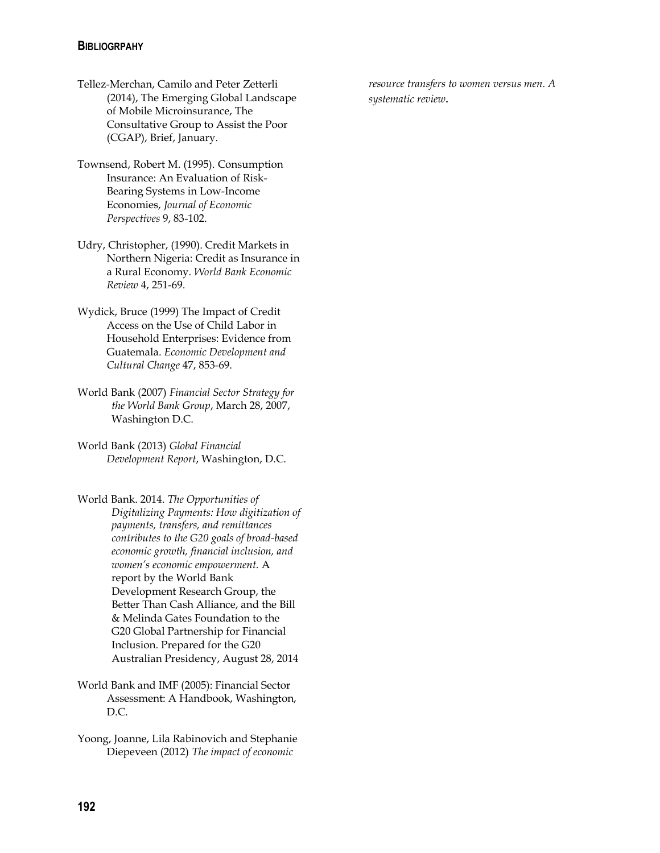- Tellez-Merchan, Camilo and Peter Zetterli (2014), The Emerging Global Landscape of Mobile Microinsurance, The Consultative Group to Assist the Poor (CGAP), Brief, January.
- Townsend, Robert M. (1995). Consumption Insurance: An Evaluation of Risk-Bearing Systems in Low-Income Economies, *Journal of Economic Perspectives* 9, 83-102.
- Udry, Christopher, (1990). Credit Markets in Northern Nigeria: Credit as Insurance in a Rural Economy. *World Bank Economic Review* 4, 251-69.
- Wydick, Bruce (1999) The Impact of Credit Access on the Use of Child Labor in Household Enterprises: Evidence from Guatemala. *Economic Development and Cultural Change* 47, 853-69.
- World Bank (2007) *Financial Sector Strategy for the World Bank Group*, March 28, 2007, Washington D.C.
- World Bank (2013) *Global Financial Development Report*, Washington, D.C.
- World Bank. 2014. *The Opportunities of Digitalizing Payments: How digitization of payments, transfers, and remittances contributes to the G20 goals of broad-based economic growth, financial inclusion, and women's economic empowerment.* A report by the World Bank Development Research Group, the Better Than Cash Alliance, and the Bill & Melinda Gates Foundation to the G20 Global Partnership for Financial Inclusion. Prepared for the G20 Australian Presidency, August 28, 2014
- World Bank and IMF (2005): Financial Sector Assessment: A Handbook, Washington, D.C.
- Yoong, Joanne, Lila Rabinovich and Stephanie Diepeveen (2012) *The impact of economic*

*resource transfers to women versus men. A systematic review.*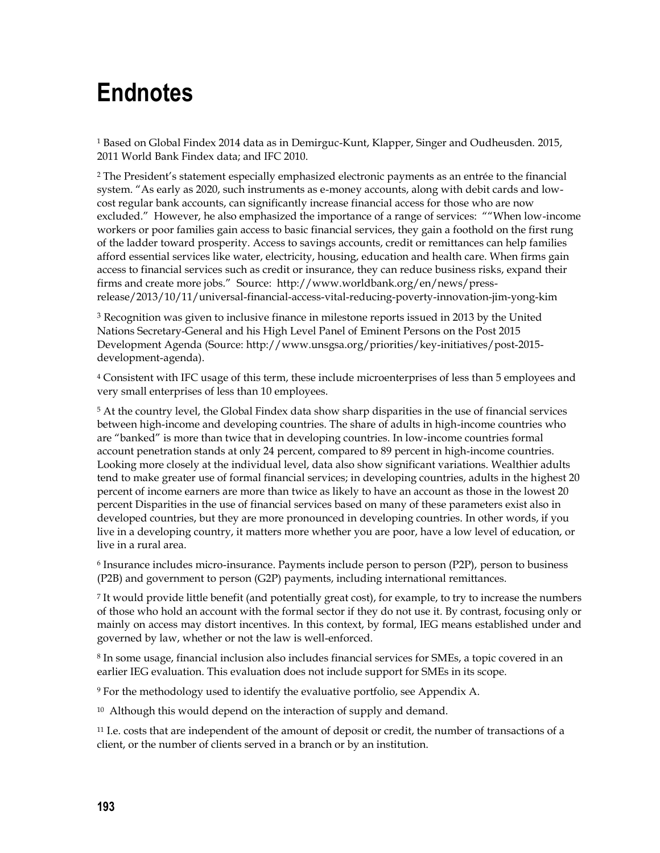## **Endnotes**

<sup>1</sup> Based on Global Findex 2014 data as in Demirguc-Kunt, Klapper, Singer and Oudheusden. 2015, 2011 World Bank Findex data; and IFC 2010.

<sup>2</sup> The President's statement especially emphasized electronic payments as an entrée to the financial system. "As early as 2020, such instruments as e-money accounts, along with debit cards and lowcost regular bank accounts, can significantly increase financial access for those who are now excluded." However, he also emphasized the importance of a range of services: ""When low-income workers or poor families gain access to basic financial services, they gain a foothold on the first rung of the ladder toward prosperity. Access to savings accounts, credit or remittances can help families afford essential services like water, electricity, housing, education and health care. When firms gain access to financial services such as credit or insurance, they can reduce business risks, expand their firms and create more jobs." Source: http://www.worldbank.org/en/news/pressrelease/2013/10/11/universal-financial-access-vital-reducing-poverty-innovation-jim-yong-kim

 $3$  Recognition was given to inclusive finance in milestone reports issued in 2013 by the United Nations Secretary-General and his [High Level Panel of Eminent Persons on the Post 2015](http://www.post2015hlp.org/the-report/)  [Development Agenda](http://www.post2015hlp.org/the-report/) (Source: http://www.unsgsa.org/priorities/key-initiatives/post-2015 development-agenda).

<sup>4</sup> Consistent with IFC usage of this term, these include microenterprises of less than 5 employees and very small enterprises of less than 10 employees.

<sup>5</sup> At the country level, the Global Findex data show sharp disparities in the use of financial services between high-income and developing countries. The share of adults in high-income countries who are "banked" is more than twice that in developing countries. In low-income countries formal account penetration stands at only 24 percent, compared to 89 percent in high-income countries. Looking more closely at the individual level, data also show significant variations. Wealthier adults tend to make greater use of formal financial services; in developing countries, adults in the highest 20 percent of income earners are more than twice as likely to have an account as those in the lowest 20 percent Disparities in the use of financial services based on many of these parameters exist also in developed countries, but they are more pronounced in developing countries. In other words, if you live in a developing country, it matters more whether you are poor, have a low level of education, or live in a rural area.

6 Insurance includes micro-insurance. Payments include person to person (P2P), person to business (P2B) and government to person (G2P) payments, including international remittances.

7 It would provide little benefit (and potentially great cost), for example, to try to increase the numbers of those who hold an account with the formal sector if they do not use it. By contrast, focusing only or mainly on access may distort incentives. In this context, by formal, IEG means established under and governed by law, whether or not the law is well-enforced.

8 In some usage, financial inclusion also includes financial services for SMEs, a topic covered in an earlier IEG evaluation. This evaluation does not include support for SMEs in its scope.

<sup>9</sup> For the methodology used to identify the evaluative portfolio, see Appendix A.

<sup>10</sup> Although this would depend on the interaction of supply and demand.

<sup>11</sup> I.e. costs that are independent of the amount of deposit or credit, the number of transactions of a client, or the number of clients served in a branch or by an institution.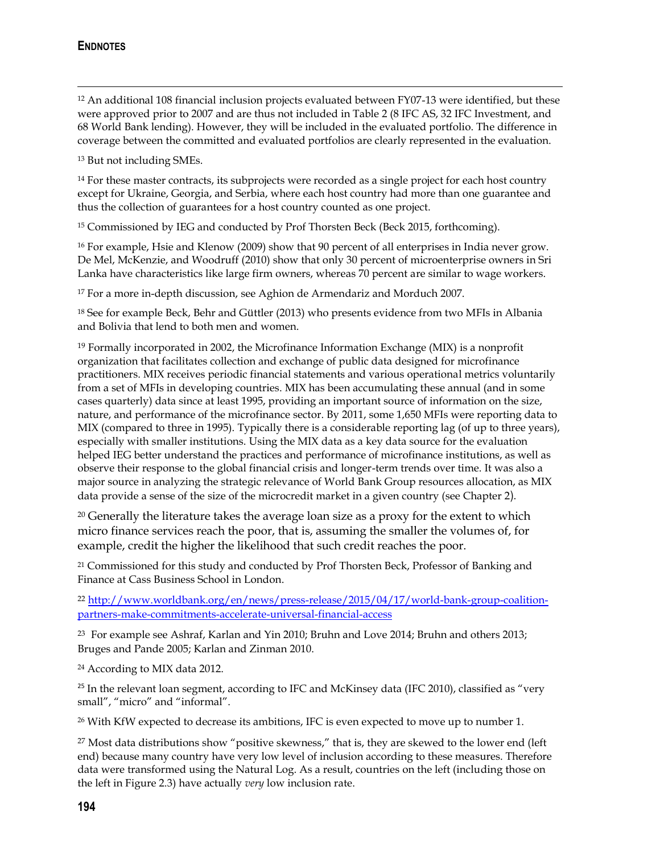## **ENDNOTES**

 $\overline{a}$ 

<sup>12</sup> An additional 108 financial inclusion projects evaluated between FY07-13 were identified, but these were approved prior to 2007 and are thus not included in Table 2 (8 IFC AS, 32 IFC Investment, and 68 World Bank lending). However, they will be included in the evaluated portfolio. The difference in coverage between the committed and evaluated portfolios are clearly represented in the evaluation.

<sup>13</sup> But not including SMEs.

<sup>14</sup> For these master contracts, its subprojects were recorded as a single project for each host country except for Ukraine, Georgia, and Serbia, where each host country had more than one guarantee and thus the collection of guarantees for a host country counted as one project.

<sup>15</sup> Commissioned by IEG and conducted by Prof Thorsten Beck (Beck 2015, forthcoming).

<sup>16</sup> For example, Hsie and Klenow (2009) show that 90 percent of all enterprises in India never grow. De Mel, McKenzie, and Woodruff (2010) show that only 30 percent of microenterprise owners in Sri Lanka have characteristics like large firm owners, whereas 70 percent are similar to wage workers.

<sup>17</sup> For a more in-depth discussion, see Aghion de Armendariz and Morduch 2007.

<sup>18</sup> See for example Beck, Behr and Güttler (2013) who presents evidence from two MFIs in Albania and Bolivia that lend to both men and women.

<sup>19</sup> Formally incorporated in 2002, the Microfinance Information Exchange (MIX) is a nonprofit organization that facilitates collection and exchange of public data designed for microfinance practitioners. MIX receives periodic financial statements and various operational metrics voluntarily from a set of MFIs in developing countries. MIX has been accumulating these annual (and in some cases quarterly) data since at least 1995, providing an important source of information on the size, nature, and performance of the microfinance sector. By 2011, some 1,650 MFIs were reporting data to MIX (compared to three in 1995). Typically there is a considerable reporting lag (of up to three years), especially with smaller institutions. Using the MIX data as a key data source for the evaluation helped IEG better understand the practices and performance of microfinance institutions, as well as observe their response to the global financial crisis and longer-term trends over time. It was also a major source in analyzing the strategic relevance of World Bank Group resources allocation, as MIX data provide a sense of the size of the microcredit market in a given country (see Chapter 2).

<sup>20</sup> Generally the literature takes the average loan size as a proxy for the extent to which micro finance services reach the poor, that is, assuming the smaller the volumes of, for example, credit the higher the likelihood that such credit reaches the poor.

<sup>21</sup> Commissioned for this study and conducted by Prof Thorsten Beck, Professor of Banking and Finance at Cass Business School in London.

<sup>22</sup> [http://www.worldbank.org/en/news/press-release/2015/04/17/world-bank-group-coalition](http://www.worldbank.org/en/news/press-release/2015/04/17/world-bank-group-coalition-partners-make-commitments-accelerate-universal-financial-access)[partners-make-commitments-accelerate-universal-financial-access](http://www.worldbank.org/en/news/press-release/2015/04/17/world-bank-group-coalition-partners-make-commitments-accelerate-universal-financial-access)

<sup>23</sup> For example see Ashraf, Karlan and Yin 2010; Bruhn and Love 2014; Bruhn and others 2013; Bruges and Pande 2005; Karlan and Zinman 2010.

<sup>24</sup> According to MIX data 2012.

 $25$  In the relevant loan segment, according to IFC and McKinsey data (IFC 2010), classified as "very small", "micro" and "informal".

<sup>26</sup> With KfW expected to decrease its ambitions, IFC is even expected to move up to number 1.

<sup>27</sup> Most data distributions show "positive skewness," that is, they are skewed to the lower end (left end) because many country have very low level of inclusion according to these measures. Therefore data were transformed using the Natural Log. As a result, countries on the left (including those on the left in Figure 2.3) have actually *very* low inclusion rate.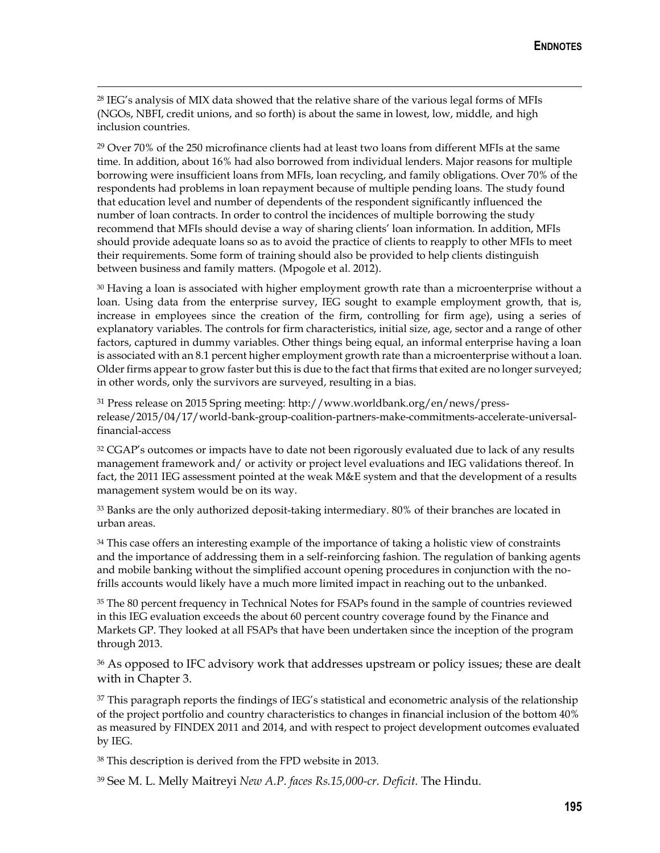<sup>28</sup> IEG's analysis of MIX data showed that the relative share of the various legal forms of MFIs (NGOs, NBFI, credit unions, and so forth) is about the same in lowest, low, middle, and high inclusion countries.

 $\overline{a}$ 

 $29$  Over 70% of the 250 microfinance clients had at least two loans from different MFIs at the same time. In addition, about 16% had also borrowed from individual lenders. Major reasons for multiple borrowing were insufficient loans from MFIs, loan recycling, and family obligations. Over 70% of the respondents had problems in loan repayment because of multiple pending loans. The study found that education level and number of dependents of the respondent significantly influenced the number of loan contracts. In order to control the incidences of multiple borrowing the study recommend that MFIs should devise a way of sharing clients' loan information. In addition, MFIs should provide adequate loans so as to avoid the practice of clients to reapply to other MFIs to meet their requirements. Some form of training should also be provided to help clients distinguish between business and family matters. (Mpogole et al. 2012).

 $30$  Having a loan is associated with higher employment growth rate than a microenterprise without a loan. Using data from the enterprise survey, IEG sought to example employment growth, that is, increase in employees since the creation of the firm, controlling for firm age), using a series of explanatory variables. The controls for firm characteristics, initial size, age, sector and a range of other factors, captured in dummy variables. Other things being equal, an informal enterprise having a loan is associated with an 8.1 percent higher employment growth rate than a microenterprise without a loan. Older firms appear to grow faster but this is due to the fact that firms that exited are no longer surveyed; in other words, only the survivors are surveyed, resulting in a bias.

<sup>31</sup> Press release on 2015 Spring meeting: http://www.worldbank.org/en/news/pressrelease/2015/04/17/world-bank-group-coalition-partners-make-commitments-accelerate-universalfinancial-access

<sup>32</sup> CGAP's outcomes or impacts have to date not been rigorously evaluated due to lack of any results management framework and/ or activity or project level evaluations and IEG validations thereof. In fact, the 2011 IEG assessment pointed at the weak M&E system and that the development of a results management system would be on its way.

<sup>33</sup> Banks are the only authorized deposit-taking intermediary. 80% of their branches are located in urban areas.

<sup>34</sup> This case offers an interesting example of the importance of taking a holistic view of constraints and the importance of addressing them in a self-reinforcing fashion. The regulation of banking agents and mobile banking without the simplified account opening procedures in conjunction with the nofrills accounts would likely have a much more limited impact in reaching out to the unbanked.

<sup>35</sup> The 80 percent frequency in Technical Notes for FSAPs found in the sample of countries reviewed in this IEG evaluation exceeds the about 60 percent country coverage found by the Finance and Markets GP. They looked at all FSAPs that have been undertaken since the inception of the program through 2013.

<sup>36</sup> As opposed to IFC advisory work that addresses upstream or policy issues; these are dealt with in Chapter 3.

<sup>37</sup> This paragraph reports the findings of IEG's statistical and econometric analysis of the relationship of the project portfolio and country characteristics to changes in financial inclusion of the bottom 40% as measured by FINDEX 2011 and 2014, and with respect to project development outcomes evaluated by IEG.

<sup>38</sup> This description is derived from the FPD website in 2013.

<sup>39</sup> See M. L. Melly Maitreyi *New A.P. faces Rs.15,000-cr. Deficit.* The Hindu.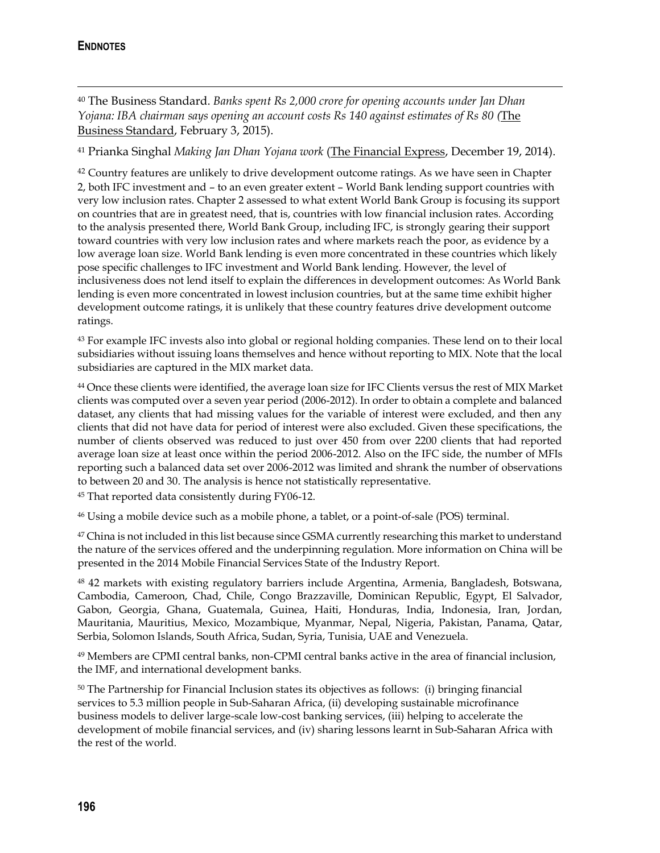$\overline{a}$ 

<sup>40</sup> The Business Standard. *Banks spent Rs 2,000 crore for opening accounts under Jan Dhan Yojana: IBA chairman says opening an account costs Rs 140 against estimates of Rs 80 (*The Business Standard, February 3, 2015).

<sup>41</sup> Prianka Singhal *Making Jan Dhan Yojana work* (The Financial Express, December 19, 2014).

<sup>42</sup> Country features are unlikely to drive development outcome ratings. As we have seen in Chapter 2, both IFC investment and – to an even greater extent – World Bank lending support countries with very low inclusion rates. Chapter 2 assessed to what extent World Bank Group is focusing its support on countries that are in greatest need, that is, countries with low financial inclusion rates. According to the analysis presented there, World Bank Group, including IFC, is strongly gearing their support toward countries with very low inclusion rates and where markets reach the poor, as evidence by a low average loan size. World Bank lending is even more concentrated in these countries which likely pose specific challenges to IFC investment and World Bank lending. However, the level of inclusiveness does not lend itself to explain the differences in development outcomes: As World Bank lending is even more concentrated in lowest inclusion countries, but at the same time exhibit higher development outcome ratings, it is unlikely that these country features drive development outcome ratings.

<sup>43</sup> For example IFC invests also into global or regional holding companies. These lend on to their local subsidiaries without issuing loans themselves and hence without reporting to MIX. Note that the local subsidiaries are captured in the MIX market data.

<sup>44</sup> Once these clients were identified, the average loan size for IFC Clients versus the rest of MIX Market clients was computed over a seven year period (2006-2012). In order to obtain a complete and balanced dataset, any clients that had missing values for the variable of interest were excluded, and then any clients that did not have data for period of interest were also excluded. Given these specifications, the number of clients observed was reduced to just over 450 from over 2200 clients that had reported average loan size at least once within the period 2006-2012. Also on the IFC side, the number of MFIs reporting such a balanced data set over 2006-2012 was limited and shrank the number of observations to between 20 and 30. The analysis is hence not statistically representative.

<sup>45</sup> That reported data consistently during FY06-12.

<sup>46</sup> Using a mobile device such as a mobile phone, a tablet, or a point-of-sale (POS) terminal.

<sup>47</sup> China is not included in this list because since GSMA currently researching this market to understand the nature of the services offered and the underpinning regulation. More information on China will be presented in the 2014 Mobile Financial Services State of the Industry Report.

<sup>48</sup> 42 markets with existing regulatory barriers include Argentina, Armenia, Bangladesh, Botswana, Cambodia, Cameroon, Chad, Chile, Congo Brazzaville, Dominican Republic, Egypt, El Salvador, Gabon, Georgia, Ghana, Guatemala, Guinea, Haiti, Honduras, India, Indonesia, Iran, Jordan, Mauritania, Mauritius, Mexico, Mozambique, Myanmar, Nepal, Nigeria, Pakistan, Panama, Qatar, Serbia, Solomon Islands, South Africa, Sudan, Syria, Tunisia, UAE and Venezuela.

<sup>49</sup> Members are CPMI central banks, non-CPMI central banks active in the area of financial inclusion, the IMF, and international development banks.

<sup>50</sup> The Partnership for Financial Inclusion states its objectives as follows: (i) bringing financial services to 5.3 million people in Sub-Saharan Africa, (ii) developing sustainable microfinance business models to deliver large-scale low-cost banking services, (iii) helping to accelerate the development of mobile financial services, and (iv) sharing lessons learnt in Sub-Saharan Africa with the rest of the world.